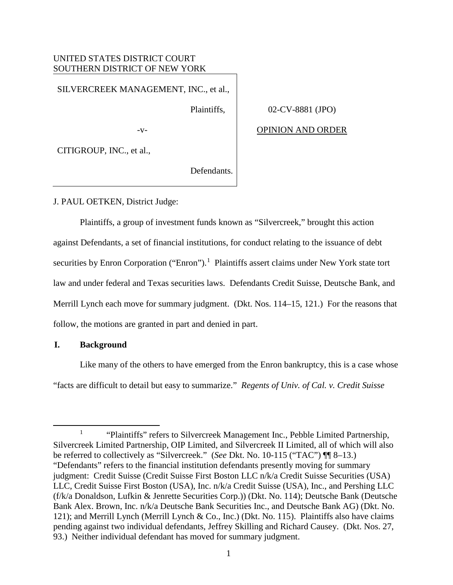# UNITED STATES DISTRICT COURT SOUTHERN DISTRICT OF NEW YORK

SILVERCREEK MANAGEMENT, INC., et al.,

Plaintiffs,

02-CV-8881 (JPO)

 $-V-$ 

OPINION AND ORDER

CITIGROUP, INC., et al.,

Defendants.

J. PAUL OETKEN, District Judge:

 Plaintiffs, a group of investment funds known as "Silvercreek," brought this action against Defendants, a set of financial institutions, for conduct relating to the issuance of debt securities by Enron Corporation ("Enron").<sup>1</sup> Plaintiffs assert claims under New York state tort law and under federal and Texas securities laws. Defendants Credit Suisse, Deutsche Bank, and Merrill Lynch each move for summary judgment. (Dkt. Nos. 114–15, 121.) For the reasons that follow, the motions are granted in part and denied in part.

## **I. Background**

Like many of the others to have emerged from the Enron bankruptcy, this is a case whose "facts are difficult to detail but easy to summarize." *Regents of Univ. of Cal. v. Credit Suisse* 

<sup>&</sup>lt;u>1</u> <sup>1</sup> "Plaintiffs" refers to Silvercreek Management Inc., Pebble Limited Partnership, Silvercreek Limited Partnership, OIP Limited, and Silvercreek II Limited, all of which will also be referred to collectively as "Silvercreek." (*See* Dkt. No. 10-115 ("TAC") ¶¶ 8–13.) "Defendants" refers to the financial institution defendants presently moving for summary judgment: Credit Suisse (Credit Suisse First Boston LLC n/k/a Credit Suisse Securities (USA) LLC, Credit Suisse First Boston (USA), Inc. n/k/a Credit Suisse (USA), Inc., and Pershing LLC (f/k/a Donaldson, Lufkin & Jenrette Securities Corp.)) (Dkt. No. 114); Deutsche Bank (Deutsche Bank Alex. Brown, Inc. n/k/a Deutsche Bank Securities Inc., and Deutsche Bank AG) (Dkt. No. 121); and Merrill Lynch (Merrill Lynch & Co., Inc.) (Dkt. No. 115). Plaintiffs also have claims pending against two individual defendants, Jeffrey Skilling and Richard Causey. (Dkt. Nos. 27, 93.) Neither individual defendant has moved for summary judgment.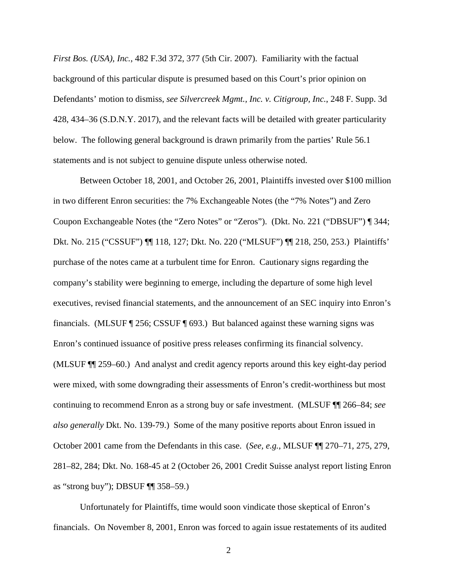*First Bos. (USA), Inc.*, 482 F.3d 372, 377 (5th Cir. 2007). Familiarity with the factual background of this particular dispute is presumed based on this Court's prior opinion on Defendants' motion to dismiss, *see Silvercreek Mgmt., Inc. v. Citigroup, Inc.*, 248 F. Supp. 3d 428, 434–36 (S.D.N.Y. 2017), and the relevant facts will be detailed with greater particularity below. The following general background is drawn primarily from the parties' Rule 56.1 statements and is not subject to genuine dispute unless otherwise noted.

Between October 18, 2001, and October 26, 2001, Plaintiffs invested over \$100 million in two different Enron securities: the 7% Exchangeable Notes (the "7% Notes") and Zero Coupon Exchangeable Notes (the "Zero Notes" or "Zeros"). (Dkt. No. 221 ("DBSUF") ¶ 344; Dkt. No. 215 ("CSSUF") ¶¶ 118, 127; Dkt. No. 220 ("MLSUF") ¶¶ 218, 250, 253.) Plaintiffs' purchase of the notes came at a turbulent time for Enron. Cautionary signs regarding the company's stability were beginning to emerge, including the departure of some high level executives, revised financial statements, and the announcement of an SEC inquiry into Enron's financials. (MLSUF ¶ 256; CSSUF ¶ 693.) But balanced against these warning signs was Enron's continued issuance of positive press releases confirming its financial solvency. (MLSUF ¶¶ 259–60.) And analyst and credit agency reports around this key eight-day period were mixed, with some downgrading their assessments of Enron's credit-worthiness but most continuing to recommend Enron as a strong buy or safe investment. (MLSUF ¶¶ 266–84; *see also generally* Dkt. No. 139-79.) Some of the many positive reports about Enron issued in October 2001 came from the Defendants in this case. (*See, e.g.*, MLSUF ¶¶ 270–71, 275, 279, 281–82, 284; Dkt. No. 168-45 at 2 (October 26, 2001 Credit Suisse analyst report listing Enron as "strong buy"); DBSUF ¶¶ 358–59.)

Unfortunately for Plaintiffs, time would soon vindicate those skeptical of Enron's financials. On November 8, 2001, Enron was forced to again issue restatements of its audited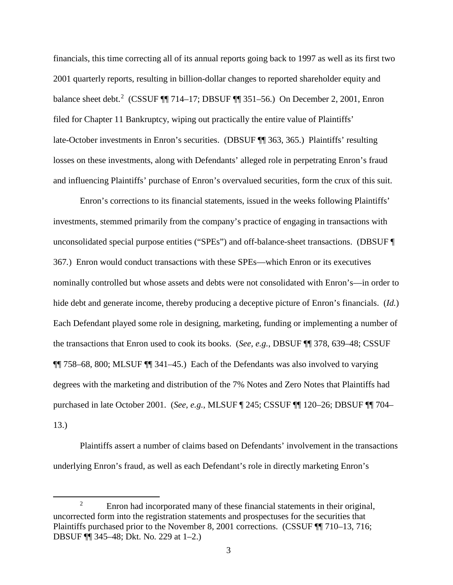financials, this time correcting all of its annual reports going back to 1997 as well as its first two 2001 quarterly reports, resulting in billion-dollar changes to reported shareholder equity and balance sheet debt.<sup>2</sup> (CSSUF ¶ 714–17; DBSUF ¶ 351–56.) On December 2, 2001, Enron filed for Chapter 11 Bankruptcy, wiping out practically the entire value of Plaintiffs' late-October investments in Enron's securities. (DBSUF ¶¶ 363, 365.) Plaintiffs' resulting losses on these investments, along with Defendants' alleged role in perpetrating Enron's fraud and influencing Plaintiffs' purchase of Enron's overvalued securities, form the crux of this suit.

Enron's corrections to its financial statements, issued in the weeks following Plaintiffs' investments, stemmed primarily from the company's practice of engaging in transactions with unconsolidated special purpose entities ("SPEs") and off-balance-sheet transactions. (DBSUF ¶ 367*.*) Enron would conduct transactions with these SPEs—which Enron or its executives nominally controlled but whose assets and debts were not consolidated with Enron's—in order to hide debt and generate income, thereby producing a deceptive picture of Enron's financials. (*Id.*) Each Defendant played some role in designing, marketing, funding or implementing a number of the transactions that Enron used to cook its books. (*See, e.g.*, DBSUF ¶¶ 378, 639–48; CSSUF ¶¶ 758–68, 800; MLSUF ¶¶ 341–45.) Each of the Defendants was also involved to varying degrees with the marketing and distribution of the 7% Notes and Zero Notes that Plaintiffs had purchased in late October 2001. (*See, e.g.*, MLSUF ¶ 245; CSSUF ¶¶ 120–26; DBSUF ¶¶ 704– 13.)

Plaintiffs assert a number of claims based on Defendants' involvement in the transactions underlying Enron's fraud, as well as each Defendant's role in directly marketing Enron's

 $\overline{\phantom{a}}$  2 <sup>2</sup> Enron had incorporated many of these financial statements in their original, uncorrected form into the registration statements and prospectuses for the securities that Plaintiffs purchased prior to the November 8, 2001 corrections. (CSSUF ¶¶ 710–13, 716; DBSUF ¶¶ 345–48; Dkt. No*.* 229 at 1–2.)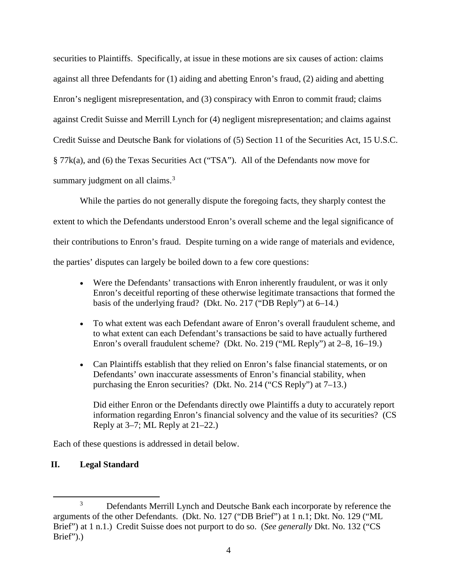securities to Plaintiffs. Specifically, at issue in these motions are six causes of action: claims against all three Defendants for (1) aiding and abetting Enron's fraud, (2) aiding and abetting Enron's negligent misrepresentation, and (3) conspiracy with Enron to commit fraud; claims against Credit Suisse and Merrill Lynch for (4) negligent misrepresentation; and claims against Credit Suisse and Deutsche Bank for violations of (5) Section 11 of the Securities Act, 15 U.S.C. § 77k(a), and (6) the Texas Securities Act ("TSA"). All of the Defendants now move for summary judgment on all claims.<sup>3</sup>

While the parties do not generally dispute the foregoing facts, they sharply contest the extent to which the Defendants understood Enron's overall scheme and the legal significance of their contributions to Enron's fraud. Despite turning on a wide range of materials and evidence, the parties' disputes can largely be boiled down to a few core questions:

- Were the Defendants' transactions with Enron inherently fraudulent, or was it only Enron's deceitful reporting of these otherwise legitimate transactions that formed the basis of the underlying fraud? (Dkt. No. 217 ("DB Reply") at 6–14.)
- To what extent was each Defendant aware of Enron's overall fraudulent scheme, and to what extent can each Defendant's transactions be said to have actually furthered Enron's overall fraudulent scheme? (Dkt. No. 219 ("ML Reply") at 2–8, 16–19.)
- Can Plaintiffs establish that they relied on Enron's false financial statements, or on Defendants' own inaccurate assessments of Enron's financial stability, when purchasing the Enron securities? (Dkt. No. 214 ("CS Reply") at 7–13.)

Did either Enron or the Defendants directly owe Plaintiffs a duty to accurately report information regarding Enron's financial solvency and the value of its securities? (CS Reply at 3–7; ML Reply at 21–22.)

Each of these questions is addressed in detail below.

# **II. Legal Standard**

 $\overline{\phantom{a}}$  3 <sup>3</sup> Defendants Merrill Lynch and Deutsche Bank each incorporate by reference the arguments of the other Defendants. (Dkt. No. 127 ("DB Brief") at 1 n.1; Dkt. No. 129 ("ML Brief") at 1 n.1.) Credit Suisse does not purport to do so. (*See generally* Dkt. No. 132 ("CS Brief").)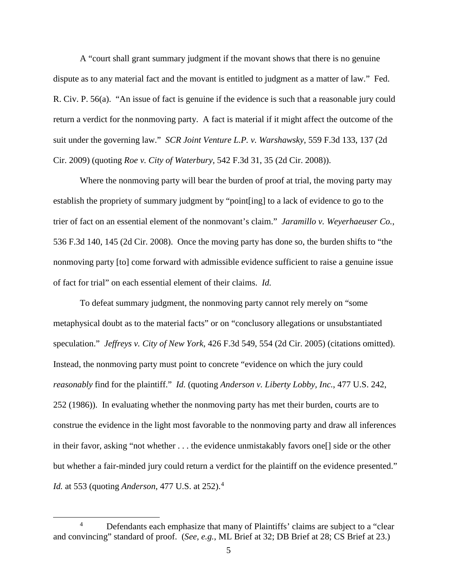A "court shall grant summary judgment if the movant shows that there is no genuine dispute as to any material fact and the movant is entitled to judgment as a matter of law." Fed. R. Civ. P. 56(a). "An issue of fact is genuine if the evidence is such that a reasonable jury could return a verdict for the nonmoving party. A fact is material if it might affect the outcome of the suit under the governing law." *SCR Joint Venture L.P. v. Warshawsky*, 559 F.3d 133, 137 (2d Cir. 2009) (quoting *Roe v. City of Waterbury*, 542 F.3d 31, 35 (2d Cir. 2008)).

Where the nonmoving party will bear the burden of proof at trial, the moving party may establish the propriety of summary judgment by "point[ing] to a lack of evidence to go to the trier of fact on an essential element of the nonmovant's claim." *Jaramillo v. Weyerhaeuser Co.*, 536 F.3d 140, 145 (2d Cir. 2008). Once the moving party has done so, the burden shifts to "the nonmoving party [to] come forward with admissible evidence sufficient to raise a genuine issue of fact for trial" on each essential element of their claims. *Id.* 

To defeat summary judgment, the nonmoving party cannot rely merely on "some metaphysical doubt as to the material facts" or on "conclusory allegations or unsubstantiated speculation." *Jeffreys v. City of New York*, 426 F.3d 549, 554 (2d Cir. 2005) (citations omitted). Instead, the nonmoving party must point to concrete "evidence on which the jury could *reasonably* find for the plaintiff." *Id.* (quoting *Anderson v. Liberty Lobby, Inc.*, 477 U.S. 242, 252 (1986)). In evaluating whether the nonmoving party has met their burden, courts are to construe the evidence in the light most favorable to the nonmoving party and draw all inferences in their favor, asking "not whether . . . the evidence unmistakably favors one[] side or the other but whether a fair-minded jury could return a verdict for the plaintiff on the evidence presented." *Id.* at 553 (quoting *Anderson*, 477 U.S. at 252).<sup>4</sup>

 $\overline{4}$ <sup>4</sup> Defendants each emphasize that many of Plaintiffs' claims are subject to a "clear" and convincing" standard of proof. (*See, e.g.*, ML Brief at 32; DB Brief at 28; CS Brief at 23.)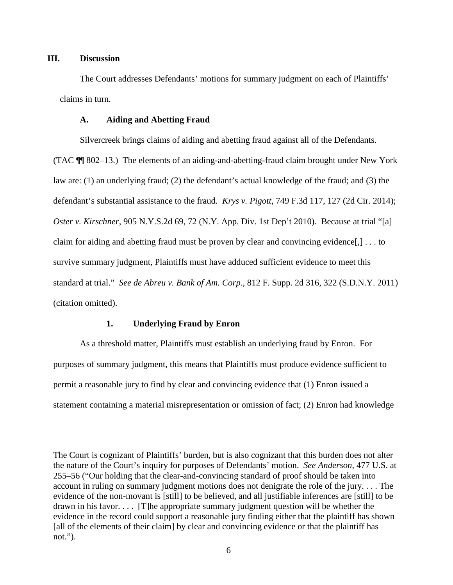# **III. Discussion**

 $\overline{a}$ 

The Court addresses Defendants' motions for summary judgment on each of Plaintiffs' claims in turn.

## **A. Aiding and Abetting Fraud**

Silvercreek brings claims of aiding and abetting fraud against all of the Defendants. (TAC ¶¶ 802–13.) The elements of an aiding-and-abetting-fraud claim brought under New York law are: (1) an underlying fraud; (2) the defendant's actual knowledge of the fraud; and (3) the defendant's substantial assistance to the fraud. *Krys v. Pigott*, 749 F.3d 117, 127 (2d Cir. 2014); *Oster v. Kirschner*, 905 N.Y.S.2d 69, 72 (N.Y. App. Div. 1st Dep't 2010). Because at trial "[a] claim for aiding and abetting fraud must be proven by clear and convincing evidence[,] . . . to survive summary judgment, Plaintiffs must have adduced sufficient evidence to meet this standard at trial." *See de Abreu v. Bank of Am. Corp.*, 812 F. Supp. 2d 316, 322 (S.D.N.Y. 2011) (citation omitted).

## **1. Underlying Fraud by Enron**

As a threshold matter, Plaintiffs must establish an underlying fraud by Enron. For purposes of summary judgment, this means that Plaintiffs must produce evidence sufficient to permit a reasonable jury to find by clear and convincing evidence that (1) Enron issued a statement containing a material misrepresentation or omission of fact; (2) Enron had knowledge

The Court is cognizant of Plaintiffs' burden, but is also cognizant that this burden does not alter the nature of the Court's inquiry for purposes of Defendants' motion. *See Anderson*, 477 U.S. at 255–56 ("Our holding that the clear-and-convincing standard of proof should be taken into account in ruling on summary judgment motions does not denigrate the role of the jury. . . . The evidence of the non-movant is [still] to be believed, and all justifiable inferences are [still] to be drawn in his favor. . . . [T]he appropriate summary judgment question will be whether the evidence in the record could support a reasonable jury finding either that the plaintiff has shown [all of the elements of their claim] by clear and convincing evidence or that the plaintiff has not.").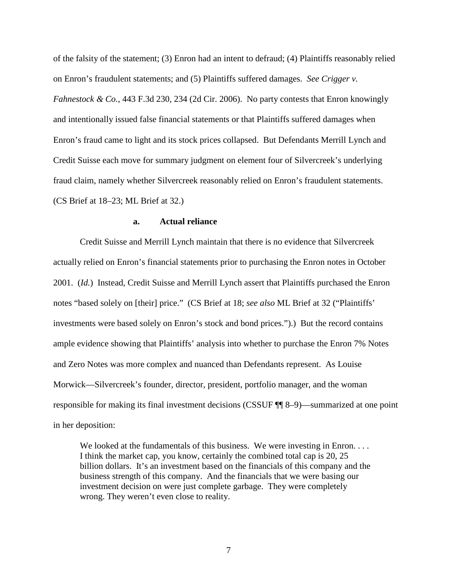of the falsity of the statement; (3) Enron had an intent to defraud; (4) Plaintiffs reasonably relied on Enron's fraudulent statements; and (5) Plaintiffs suffered damages. *See Crigger v. Fahnestock & Co.*, 443 F.3d 230, 234 (2d Cir. 2006). No party contests that Enron knowingly and intentionally issued false financial statements or that Plaintiffs suffered damages when Enron's fraud came to light and its stock prices collapsed. But Defendants Merrill Lynch and Credit Suisse each move for summary judgment on element four of Silvercreek's underlying fraud claim, namely whether Silvercreek reasonably relied on Enron's fraudulent statements. (CS Brief at 18–23; ML Brief at 32.)

## **a. Actual reliance**

Credit Suisse and Merrill Lynch maintain that there is no evidence that Silvercreek actually relied on Enron's financial statements prior to purchasing the Enron notes in October 2001. (*Id.*) Instead, Credit Suisse and Merrill Lynch assert that Plaintiffs purchased the Enron notes "based solely on [their] price." (CS Brief at 18; *see also* ML Brief at 32 ("Plaintiffs' investments were based solely on Enron's stock and bond prices.").) But the record contains ample evidence showing that Plaintiffs' analysis into whether to purchase the Enron 7% Notes and Zero Notes was more complex and nuanced than Defendants represent. As Louise Morwick—Silvercreek's founder, director, president, portfolio manager, and the woman responsible for making its final investment decisions (CSSUF ¶¶ 8–9)—summarized at one point in her deposition:

We looked at the fundamentals of this business. We were investing in Enron.... I think the market cap, you know, certainly the combined total cap is 20, 25 billion dollars. It's an investment based on the financials of this company and the business strength of this company. And the financials that we were basing our investment decision on were just complete garbage. They were completely wrong. They weren't even close to reality.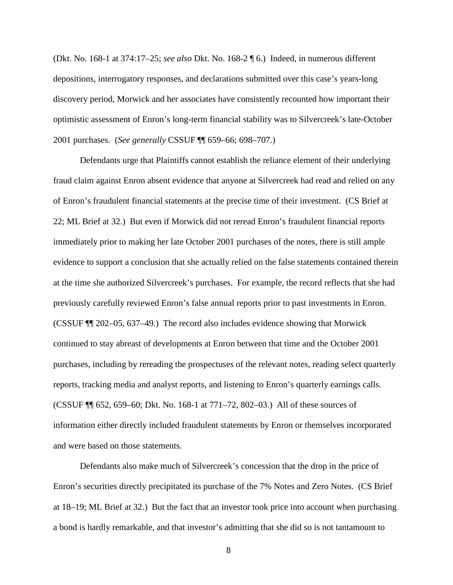(Dkt. No. 168-1 at 374:17–25; *see also* Dkt. No. 168-2 ¶ 6.) Indeed, in numerous different depositions, interrogatory responses, and declarations submitted over this case's years-long discovery period, Morwick and her associates have consistently recounted how important their optimistic assessment of Enron's long-term financial stability was to Silvercreek's late-October 2001 purchases. (*See generally* CSSUF ¶¶ 659–66; 698–707.)

Defendants urge that Plaintiffs cannot establish the reliance element of their underlying fraud claim against Enron absent evidence that anyone at Silvercreek had read and relied on any of Enron's fraudulent financial statements at the precise time of their investment. (CS Brief at 22; ML Brief at 32.) But even if Morwick did not reread Enron's fraudulent financial reports immediately prior to making her late October 2001 purchases of the notes, there is still ample evidence to support a conclusion that she actually relied on the false statements contained therein at the time she authorized Silvercreek's purchases. For example, the record reflects that she had previously carefully reviewed Enron's false annual reports prior to past investments in Enron. (CSSUF ¶¶ 202–05, 637–49.) The record also includes evidence showing that Morwick continued to stay abreast of developments at Enron between that time and the October 2001 purchases, including by rereading the prospectuses of the relevant notes, reading select quarterly reports, tracking media and analyst reports, and listening to Enron's quarterly earnings calls. (CSSUF ¶¶ 652, 659–60; Dkt. No. 168-1 at 771–72, 802–03.) All of these sources of information either directly included fraudulent statements by Enron or themselves incorporated and were based on those statements.

Defendants also make much of Silvercreek's concession that the drop in the price of Enron's securities directly precipitated its purchase of the 7% Notes and Zero Notes. (CS Brief at 18–19; ML Brief at 32.) But the fact that an investor took price into account when purchasing a bond is hardly remarkable, and that investor's admitting that she did so is not tantamount to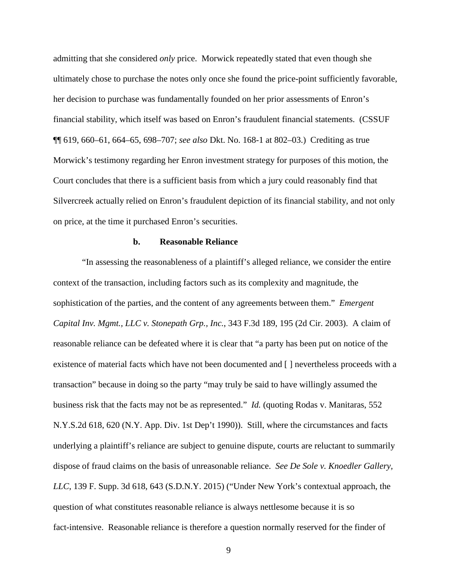admitting that she considered *only* price. Morwick repeatedly stated that even though she ultimately chose to purchase the notes only once she found the price-point sufficiently favorable, her decision to purchase was fundamentally founded on her prior assessments of Enron's financial stability, which itself was based on Enron's fraudulent financial statements. (CSSUF ¶¶ 619, 660–61, 664–65, 698–707; *see also* Dkt. No. 168-1 at 802–03.) Crediting as true Morwick's testimony regarding her Enron investment strategy for purposes of this motion, the Court concludes that there is a sufficient basis from which a jury could reasonably find that Silvercreek actually relied on Enron's fraudulent depiction of its financial stability, and not only on price, at the time it purchased Enron's securities.

#### **b. Reasonable Reliance**

"In assessing the reasonableness of a plaintiff's alleged reliance, we consider the entire context of the transaction, including factors such as its complexity and magnitude, the sophistication of the parties, and the content of any agreements between them." *Emergent Capital Inv. Mgmt., LLC v. Stonepath Grp., Inc.*, 343 F.3d 189, 195 (2d Cir. 2003). A claim of reasonable reliance can be defeated where it is clear that "a party has been put on notice of the existence of material facts which have not been documented and [ ] nevertheless proceeds with a transaction" because in doing so the party "may truly be said to have willingly assumed the business risk that the facts may not be as represented." *Id.* (quoting Rodas v. Manitaras, 552 N.Y.S.2d 618, 620 (N.Y. App. Div. 1st Dep't 1990)). Still, where the circumstances and facts underlying a plaintiff's reliance are subject to genuine dispute, courts are reluctant to summarily dispose of fraud claims on the basis of unreasonable reliance. *See De Sole v. Knoedler Gallery, LLC*, 139 F. Supp. 3d 618, 643 (S.D.N.Y. 2015) ("Under New York's contextual approach, the question of what constitutes reasonable reliance is always nettlesome because it is so fact-intensive. Reasonable reliance is therefore a question normally reserved for the finder of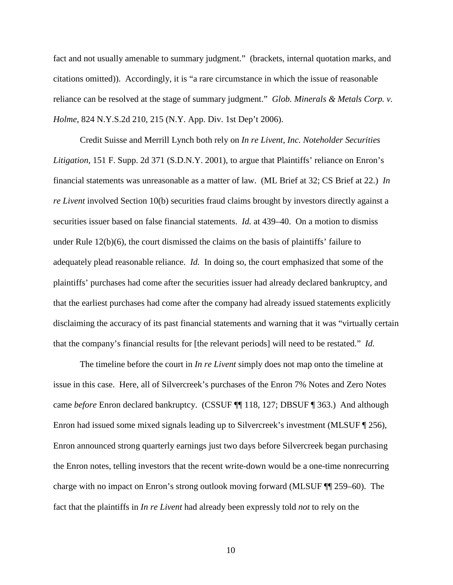fact and not usually amenable to summary judgment." (brackets, internal quotation marks, and citations omitted)). Accordingly, it is "a rare circumstance in which the issue of reasonable reliance can be resolved at the stage of summary judgment." *Glob. Minerals & Metals Corp. v. Holme*, 824 N.Y.S.2d 210, 215 (N.Y. App. Div. 1st Dep't 2006).

Credit Suisse and Merrill Lynch both rely on *In re Livent, Inc. Noteholder Securities Litigation*, 151 F. Supp. 2d 371 (S.D.N.Y. 2001), to argue that Plaintiffs' reliance on Enron's financial statements was unreasonable as a matter of law. (ML Brief at 32; CS Brief at 22.) *In re Livent* involved Section 10(b) securities fraud claims brought by investors directly against a securities issuer based on false financial statements. *Id.* at 439–40. On a motion to dismiss under Rule  $12(b)(6)$ , the court dismissed the claims on the basis of plaintiffs' failure to adequately plead reasonable reliance. *Id.* In doing so, the court emphasized that some of the plaintiffs' purchases had come after the securities issuer had already declared bankruptcy, and that the earliest purchases had come after the company had already issued statements explicitly disclaiming the accuracy of its past financial statements and warning that it was "virtually certain that the company's financial results for [the relevant periods] will need to be restated." *Id.* 

The timeline before the court in *In re Livent* simply does not map onto the timeline at issue in this case. Here, all of Silvercreek's purchases of the Enron 7% Notes and Zero Notes came *before* Enron declared bankruptcy. (CSSUF ¶¶ 118, 127; DBSUF ¶ 363.) And although Enron had issued some mixed signals leading up to Silvercreek's investment (MLSUF ¶ 256), Enron announced strong quarterly earnings just two days before Silvercreek began purchasing the Enron notes, telling investors that the recent write-down would be a one-time nonrecurring charge with no impact on Enron's strong outlook moving forward (MLSUF ¶¶ 259–60). The fact that the plaintiffs in *In re Livent* had already been expressly told *not* to rely on the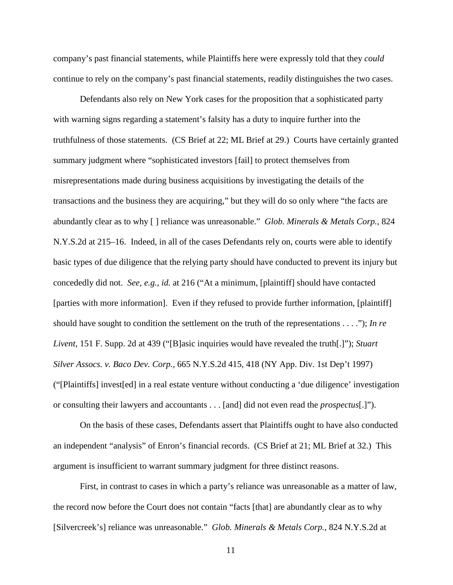company's past financial statements, while Plaintiffs here were expressly told that they *could* continue to rely on the company's past financial statements, readily distinguishes the two cases.

Defendants also rely on New York cases for the proposition that a sophisticated party with warning signs regarding a statement's falsity has a duty to inquire further into the truthfulness of those statements. (CS Brief at 22; ML Brief at 29.) Courts have certainly granted summary judgment where "sophisticated investors [fail] to protect themselves from misrepresentations made during business acquisitions by investigating the details of the transactions and the business they are acquiring," but they will do so only where "the facts are abundantly clear as to why [ ] reliance was unreasonable." *Glob. Minerals & Metals Corp.*, 824 N.Y.S.2d at 215–16. Indeed, in all of the cases Defendants rely on, courts were able to identify basic types of due diligence that the relying party should have conducted to prevent its injury but concededly did not. *See, e.g.*, *id.* at 216 ("At a minimum, [plaintiff] should have contacted [parties with more information]. Even if they refused to provide further information, [plaintiff] should have sought to condition the settlement on the truth of the representations . . . ."); *In re Livent*, 151 F. Supp. 2d at 439 ("[B]asic inquiries would have revealed the truth[.]"); *Stuart Silver Assocs. v. Baco Dev. Corp.*, 665 N.Y.S.2d 415, 418 (NY App. Div. 1st Dep't 1997) ("[Plaintiffs] invest[ed] in a real estate venture without conducting a 'due diligence' investigation or consulting their lawyers and accountants . . . [and] did not even read the *prospectus*[.]").

On the basis of these cases, Defendants assert that Plaintiffs ought to have also conducted an independent "analysis" of Enron's financial records. (CS Brief at 21; ML Brief at 32.) This argument is insufficient to warrant summary judgment for three distinct reasons.

First, in contrast to cases in which a party's reliance was unreasonable as a matter of law, the record now before the Court does not contain "facts [that] are abundantly clear as to why [Silvercreek's] reliance was unreasonable." *Glob. Minerals & Metals Corp.*, 824 N.Y.S.2d at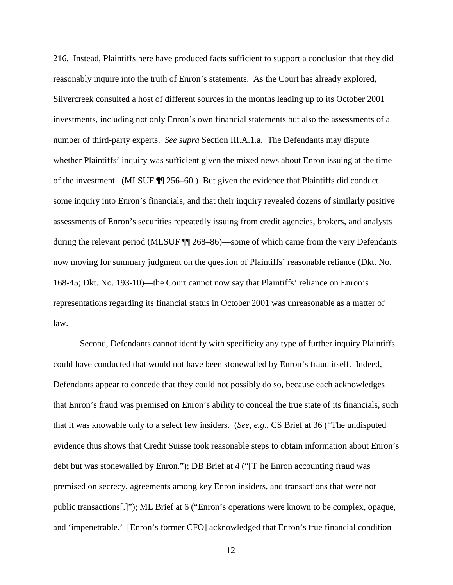216. Instead, Plaintiffs here have produced facts sufficient to support a conclusion that they did reasonably inquire into the truth of Enron's statements. As the Court has already explored, Silvercreek consulted a host of different sources in the months leading up to its October 2001 investments, including not only Enron's own financial statements but also the assessments of a number of third-party experts. *See supra* Section III.A.1.a. The Defendants may dispute whether Plaintiffs' inquiry was sufficient given the mixed news about Enron issuing at the time of the investment. (MLSUF ¶¶ 256–60.) But given the evidence that Plaintiffs did conduct some inquiry into Enron's financials, and that their inquiry revealed dozens of similarly positive assessments of Enron's securities repeatedly issuing from credit agencies, brokers, and analysts during the relevant period (MLSUF ¶¶ 268–86)—some of which came from the very Defendants now moving for summary judgment on the question of Plaintiffs' reasonable reliance (Dkt. No. 168-45; Dkt. No. 193-10)—the Court cannot now say that Plaintiffs' reliance on Enron's representations regarding its financial status in October 2001 was unreasonable as a matter of law.

Second, Defendants cannot identify with specificity any type of further inquiry Plaintiffs could have conducted that would not have been stonewalled by Enron's fraud itself. Indeed, Defendants appear to concede that they could not possibly do so, because each acknowledges that Enron's fraud was premised on Enron's ability to conceal the true state of its financials, such that it was knowable only to a select few insiders. (*See, e.g.*, CS Brief at 36 ("The undisputed evidence thus shows that Credit Suisse took reasonable steps to obtain information about Enron's debt but was stonewalled by Enron."); DB Brief at 4 ("[T]he Enron accounting fraud was premised on secrecy, agreements among key Enron insiders, and transactions that were not public transactions[.]"); ML Brief at 6 ("Enron's operations were known to be complex, opaque, and 'impenetrable.' [Enron's former CFO] acknowledged that Enron's true financial condition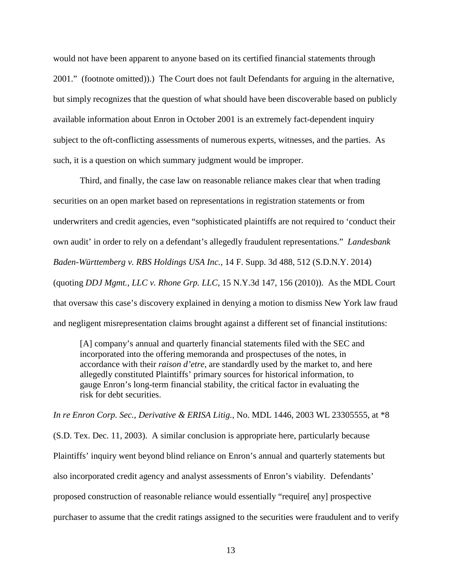would not have been apparent to anyone based on its certified financial statements through 2001." (footnote omitted)).) The Court does not fault Defendants for arguing in the alternative, but simply recognizes that the question of what should have been discoverable based on publicly available information about Enron in October 2001 is an extremely fact-dependent inquiry subject to the oft-conflicting assessments of numerous experts, witnesses, and the parties. As such, it is a question on which summary judgment would be improper.

Third, and finally, the case law on reasonable reliance makes clear that when trading securities on an open market based on representations in registration statements or from underwriters and credit agencies, even "sophisticated plaintiffs are not required to 'conduct their own audit' in order to rely on a defendant's allegedly fraudulent representations." *Landesbank Baden-Württemberg v. RBS Holdings USA Inc.*, 14 F. Supp. 3d 488, 512 (S.D.N.Y. 2014) (quoting *DDJ Mgmt., LLC v. Rhone Grp. LLC,* 15 N.Y.3d 147, 156 (2010)). As the MDL Court that oversaw this case's discovery explained in denying a motion to dismiss New York law fraud and negligent misrepresentation claims brought against a different set of financial institutions:

[A] company's annual and quarterly financial statements filed with the SEC and incorporated into the offering memoranda and prospectuses of the notes, in accordance with their *raison d'etre*, are standardly used by the market to, and here allegedly constituted Plaintiffs' primary sources for historical information, to gauge Enron's long-term financial stability, the critical factor in evaluating the risk for debt securities.

*In re Enron Corp. Sec., Derivative & ERISA Litig.*, No. MDL 1446, 2003 WL 23305555, at \*8 (S.D. Tex. Dec. 11, 2003). A similar conclusion is appropriate here, particularly because Plaintiffs' inquiry went beyond blind reliance on Enron's annual and quarterly statements but also incorporated credit agency and analyst assessments of Enron's viability. Defendants' proposed construction of reasonable reliance would essentially "require[ any] prospective purchaser to assume that the credit ratings assigned to the securities were fraudulent and to verify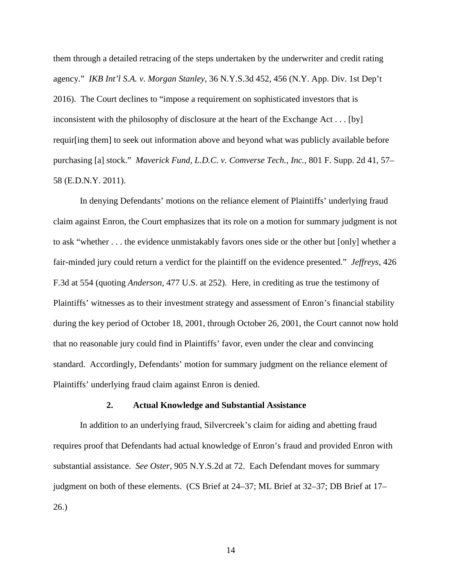them through a detailed retracing of the steps undertaken by the underwriter and credit rating agency." *IKB Int'l S.A. v. Morgan Stanley*, 36 N.Y.S.3d 452, 456 (N.Y. App. Div. 1st Dep't 2016). The Court declines to "impose a requirement on sophisticated investors that is inconsistent with the philosophy of disclosure at the heart of the Exchange Act . . . [by] requir[ing them] to seek out information above and beyond what was publicly available before purchasing [a] stock." *Maverick Fund, L.D.C. v. Comverse Tech., Inc.*, 801 F. Supp. 2d 41, 57– 58 (E.D.N.Y. 2011).

In denying Defendants' motions on the reliance element of Plaintiffs' underlying fraud claim against Enron, the Court emphasizes that its role on a motion for summary judgment is not to ask "whether . . . the evidence unmistakably favors ones side or the other but [only] whether a fair-minded jury could return a verdict for the plaintiff on the evidence presented." *Jeffreys*, 426 F.3d at 554 (quoting *Anderson*, 477 U.S. at 252). Here, in crediting as true the testimony of Plaintiffs' witnesses as to their investment strategy and assessment of Enron's financial stability during the key period of October 18, 2001, through October 26, 2001, the Court cannot now hold that no reasonable jury could find in Plaintiffs' favor, even under the clear and convincing standard. Accordingly, Defendants' motion for summary judgment on the reliance element of Plaintiffs' underlying fraud claim against Enron is denied.

#### **2. Actual Knowledge and Substantial Assistance**

In addition to an underlying fraud, Silvercreek's claim for aiding and abetting fraud requires proof that Defendants had actual knowledge of Enron's fraud and provided Enron with substantial assistance. *See Oster*, 905 N.Y.S.2d at 72. Each Defendant moves for summary judgment on both of these elements. (CS Brief at 24–37; ML Brief at 32–37; DB Brief at 17– 26.)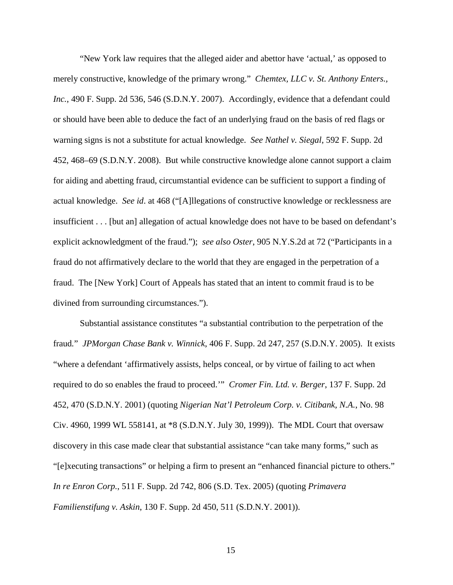"New York law requires that the alleged aider and abettor have 'actual,' as opposed to merely constructive, knowledge of the primary wrong." *Chemtex, LLC v. St. Anthony Enters.,*  Inc., 490 F. Supp. 2d 536, 546 (S.D.N.Y. 2007). Accordingly, evidence that a defendant could or should have been able to deduce the fact of an underlying fraud on the basis of red flags or warning signs is not a substitute for actual knowledge. *See Nathel v. Siegal*, 592 F. Supp. 2d 452, 468–69 (S.D.N.Y. 2008). But while constructive knowledge alone cannot support a claim for aiding and abetting fraud, circumstantial evidence can be sufficient to support a finding of actual knowledge. *See id*. at 468 ("[A]llegations of constructive knowledge or recklessness are insufficient . . . [but an] allegation of actual knowledge does not have to be based on defendant's explicit acknowledgment of the fraud."); *see also Oster*, 905 N.Y.S.2d at 72 ("Participants in a fraud do not affirmatively declare to the world that they are engaged in the perpetration of a fraud. The [New York] Court of Appeals has stated that an intent to commit fraud is to be divined from surrounding circumstances.").

Substantial assistance constitutes "a substantial contribution to the perpetration of the fraud*.*" *JPMorgan Chase Bank v. Winnick*, 406 F. Supp. 2d 247, 257 (S.D.N.Y. 2005). It exists "where a defendant 'affirmatively assists, helps conceal, or by virtue of failing to act when required to do so enables the fraud to proceed.'" *Cromer Fin. Ltd. v. Berger*, 137 F. Supp. 2d 452, 470 (S.D.N.Y. 2001) (quoting *Nigerian Nat'l Petroleum Corp. v. Citibank, N.A.*, No. 98 Civ. 4960, 1999 WL 558141, at \*8 (S.D.N.Y. July 30, 1999)). The MDL Court that oversaw discovery in this case made clear that substantial assistance "can take many forms," such as "[e]xecuting transactions" or helping a firm to present an "enhanced financial picture to others." *In re Enron Corp.*, 511 F. Supp. 2d 742, 806 (S.D. Tex. 2005) (quoting *Primavera Familienstifung v. Askin*, 130 F. Supp. 2d 450, 511 (S.D.N.Y. 2001)).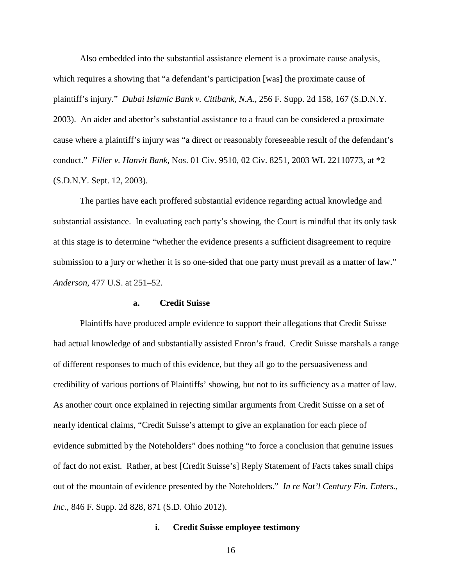Also embedded into the substantial assistance element is a proximate cause analysis, which requires a showing that "a defendant's participation [was] the proximate cause of plaintiff's injury." *Dubai Islamic Bank v. Citibank, N.A.*, 256 F. Supp. 2d 158, 167 (S.D.N.Y. 2003). An aider and abettor's substantial assistance to a fraud can be considered a proximate cause where a plaintiff's injury was "a direct or reasonably foreseeable result of the defendant's conduct." *Filler v. Hanvit Bank*, Nos. 01 Civ. 9510, 02 Civ. 8251, 2003 WL 22110773, at \*2 (S.D.N.Y. Sept. 12, 2003).

The parties have each proffered substantial evidence regarding actual knowledge and substantial assistance. In evaluating each party's showing, the Court is mindful that its only task at this stage is to determine "whether the evidence presents a sufficient disagreement to require submission to a jury or whether it is so one-sided that one party must prevail as a matter of law." *Anderson*, 477 U.S. at 251–52.

#### **a. Credit Suisse**

Plaintiffs have produced ample evidence to support their allegations that Credit Suisse had actual knowledge of and substantially assisted Enron's fraud. Credit Suisse marshals a range of different responses to much of this evidence, but they all go to the persuasiveness and credibility of various portions of Plaintiffs' showing, but not to its sufficiency as a matter of law. As another court once explained in rejecting similar arguments from Credit Suisse on a set of nearly identical claims, "Credit Suisse's attempt to give an explanation for each piece of evidence submitted by the Noteholders" does nothing "to force a conclusion that genuine issues of fact do not exist. Rather, at best [Credit Suisse's] Reply Statement of Facts takes small chips out of the mountain of evidence presented by the Noteholders." *In re Nat'l Century Fin. Enters., Inc.*, 846 F. Supp. 2d 828, 871 (S.D. Ohio 2012).

## **i. Credit Suisse employee testimony**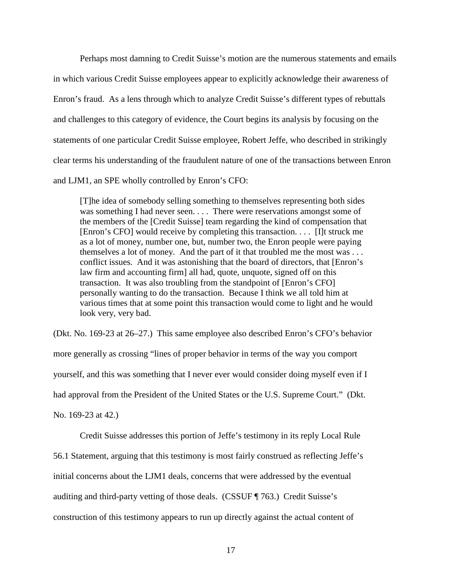Perhaps most damning to Credit Suisse's motion are the numerous statements and emails in which various Credit Suisse employees appear to explicitly acknowledge their awareness of Enron's fraud. As a lens through which to analyze Credit Suisse's different types of rebuttals and challenges to this category of evidence, the Court begins its analysis by focusing on the statements of one particular Credit Suisse employee, Robert Jeffe, who described in strikingly clear terms his understanding of the fraudulent nature of one of the transactions between Enron and LJM1, an SPE wholly controlled by Enron's CFO:

[T]he idea of somebody selling something to themselves representing both sides was something I had never seen. . . . There were reservations amongst some of the members of the [Credit Suisse] team regarding the kind of compensation that [Enron's CFO] would receive by completing this transaction. . . . [I]t struck me as a lot of money, number one, but, number two, the Enron people were paying themselves a lot of money. And the part of it that troubled me the most was . . . conflict issues. And it was astonishing that the board of directors, that [Enron's law firm and accounting firm] all had, quote, unquote, signed off on this transaction. It was also troubling from the standpoint of [Enron's CFO] personally wanting to do the transaction. Because I think we all told him at various times that at some point this transaction would come to light and he would look very, very bad.

(Dkt. No. 169-23 at 26–27.) This same employee also described Enron's CFO's behavior more generally as crossing "lines of proper behavior in terms of the way you comport yourself, and this was something that I never ever would consider doing myself even if I had approval from the President of the United States or the U.S. Supreme Court." (Dkt.

No. 169-23 at 42.)

Credit Suisse addresses this portion of Jeffe's testimony in its reply Local Rule

56.1 Statement, arguing that this testimony is most fairly construed as reflecting Jeffe's

initial concerns about the LJM1 deals, concerns that were addressed by the eventual

auditing and third-party vetting of those deals. (CSSUF ¶ 763.) Credit Suisse's

construction of this testimony appears to run up directly against the actual content of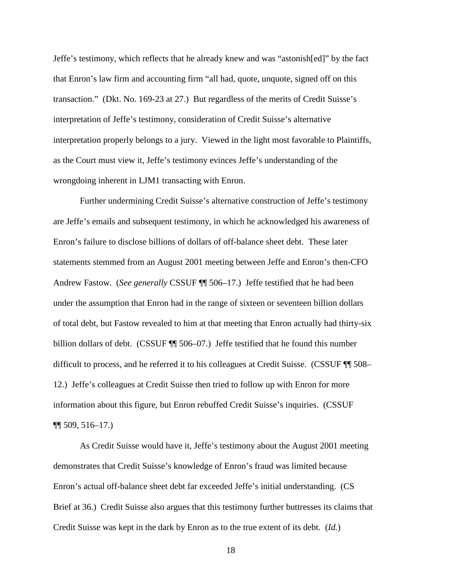Jeffe's testimony, which reflects that he already knew and was "astonish[ed]" by the fact that Enron's law firm and accounting firm "all had, quote, unquote, signed off on this transaction." (Dkt. No. 169-23 at 27.) But regardless of the merits of Credit Suisse's interpretation of Jeffe's testimony, consideration of Credit Suisse's alternative interpretation properly belongs to a jury. Viewed in the light most favorable to Plaintiffs, as the Court must view it, Jeffe's testimony evinces Jeffe's understanding of the wrongdoing inherent in LJM1 transacting with Enron.

Further undermining Credit Suisse's alternative construction of Jeffe's testimony are Jeffe's emails and subsequent testimony, in which he acknowledged his awareness of Enron's failure to disclose billions of dollars of off-balance sheet debt. These later statements stemmed from an August 2001 meeting between Jeffe and Enron's then-CFO Andrew Fastow. (*See generally* CSSUF ¶¶ 506–17.) Jeffe testified that he had been under the assumption that Enron had in the range of sixteen or seventeen billion dollars of total debt, but Fastow revealed to him at that meeting that Enron actually had thirty-six billion dollars of debt. (CSSUF  $\P$  506–07.) Jeffe testified that he found this number difficult to process, and he referred it to his colleagues at Credit Suisse. (CSSUF ¶¶ 508– 12.) Jeffe's colleagues at Credit Suisse then tried to follow up with Enron for more information about this figure, but Enron rebuffed Credit Suisse's inquiries. (CSSUF  $\P$ [ 509, 516–17.)

As Credit Suisse would have it, Jeffe's testimony about the August 2001 meeting demonstrates that Credit Suisse's knowledge of Enron's fraud was limited because Enron's actual off-balance sheet debt far exceeded Jeffe's initial understanding. (CS Brief at 36.) Credit Suisse also argues that this testimony further buttresses its claims that Credit Suisse was kept in the dark by Enron as to the true extent of its debt. (*Id.*)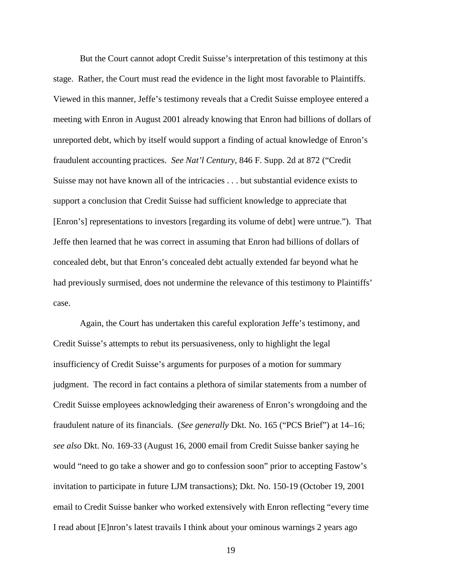But the Court cannot adopt Credit Suisse's interpretation of this testimony at this stage. Rather, the Court must read the evidence in the light most favorable to Plaintiffs. Viewed in this manner, Jeffe's testimony reveals that a Credit Suisse employee entered a meeting with Enron in August 2001 already knowing that Enron had billions of dollars of unreported debt, which by itself would support a finding of actual knowledge of Enron's fraudulent accounting practices. *See Nat'l Century*, 846 F. Supp. 2d at 872 ("Credit Suisse may not have known all of the intricacies . . . but substantial evidence exists to support a conclusion that Credit Suisse had sufficient knowledge to appreciate that [Enron's] representations to investors [regarding its volume of debt] were untrue."). That Jeffe then learned that he was correct in assuming that Enron had billions of dollars of concealed debt, but that Enron's concealed debt actually extended far beyond what he had previously surmised, does not undermine the relevance of this testimony to Plaintiffs' case.

Again, the Court has undertaken this careful exploration Jeffe's testimony, and Credit Suisse's attempts to rebut its persuasiveness, only to highlight the legal insufficiency of Credit Suisse's arguments for purposes of a motion for summary judgment. The record in fact contains a plethora of similar statements from a number of Credit Suisse employees acknowledging their awareness of Enron's wrongdoing and the fraudulent nature of its financials. (*See generally* Dkt. No. 165 ("PCS Brief") at 14–16; *see also* Dkt. No. 169-33 (August 16, 2000 email from Credit Suisse banker saying he would "need to go take a shower and go to confession soon" prior to accepting Fastow's invitation to participate in future LJM transactions); Dkt. No. 150-19 (October 19, 2001 email to Credit Suisse banker who worked extensively with Enron reflecting "every time I read about [E]nron's latest travails I think about your ominous warnings 2 years ago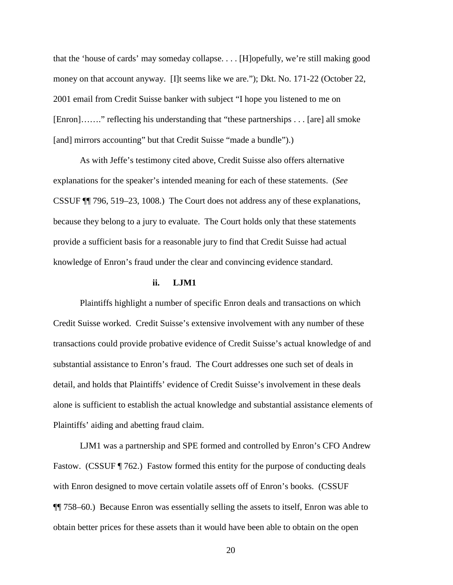that the 'house of cards' may someday collapse. . . . [H]opefully, we're still making good money on that account anyway. [I]t seems like we are."); Dkt. No. 171-22 (October 22, 2001 email from Credit Suisse banker with subject "I hope you listened to me on [Enron]……." reflecting his understanding that "these partnerships . . . [are] all smoke [and] mirrors accounting" but that Credit Suisse "made a bundle").)

As with Jeffe's testimony cited above, Credit Suisse also offers alternative explanations for the speaker's intended meaning for each of these statements. (*See*  CSSUF ¶¶ 796, 519–23, 1008.) The Court does not address any of these explanations, because they belong to a jury to evaluate. The Court holds only that these statements provide a sufficient basis for a reasonable jury to find that Credit Suisse had actual knowledge of Enron's fraud under the clear and convincing evidence standard.

#### **ii. LJM1**

Plaintiffs highlight a number of specific Enron deals and transactions on which Credit Suisse worked. Credit Suisse's extensive involvement with any number of these transactions could provide probative evidence of Credit Suisse's actual knowledge of and substantial assistance to Enron's fraud. The Court addresses one such set of deals in detail, and holds that Plaintiffs' evidence of Credit Suisse's involvement in these deals alone is sufficient to establish the actual knowledge and substantial assistance elements of Plaintiffs' aiding and abetting fraud claim.

LJM1 was a partnership and SPE formed and controlled by Enron's CFO Andrew Fastow. (CSSUF ¶ 762.) Fastow formed this entity for the purpose of conducting deals with Enron designed to move certain volatile assets off of Enron's books. (CSSUF ¶¶ 758–60.) Because Enron was essentially selling the assets to itself, Enron was able to obtain better prices for these assets than it would have been able to obtain on the open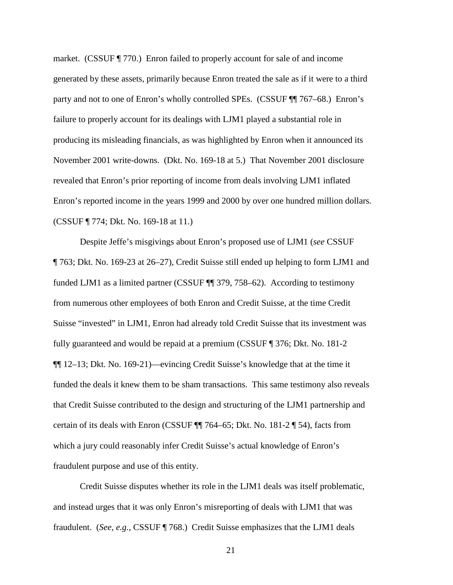market. (CSSUF ¶ 770.) Enron failed to properly account for sale of and income generated by these assets, primarily because Enron treated the sale as if it were to a third party and not to one of Enron's wholly controlled SPEs. (CSSUF ¶¶ 767–68.) Enron's failure to properly account for its dealings with LJM1 played a substantial role in producing its misleading financials, as was highlighted by Enron when it announced its November 2001 write-downs. (Dkt. No. 169-18 at 5.) That November 2001 disclosure revealed that Enron's prior reporting of income from deals involving LJM1 inflated Enron's reported income in the years 1999 and 2000 by over one hundred million dollars. (CSSUF ¶ 774; Dkt. No. 169-18 at 11.)

Despite Jeffe's misgivings about Enron's proposed use of LJM1 (*see* CSSUF ¶ 763; Dkt. No. 169-23 at 26–27), Credit Suisse still ended up helping to form LJM1 and funded LJM1 as a limited partner (CSSUF ¶¶ 379, 758–62). According to testimony from numerous other employees of both Enron and Credit Suisse, at the time Credit Suisse "invested" in LJM1, Enron had already told Credit Suisse that its investment was fully guaranteed and would be repaid at a premium (CSSUF ¶ 376; Dkt. No. 181-2 ¶¶ 12–13; Dkt. No. 169-21)—evincing Credit Suisse's knowledge that at the time it funded the deals it knew them to be sham transactions. This same testimony also reveals that Credit Suisse contributed to the design and structuring of the LJM1 partnership and certain of its deals with Enron (CSSUF  $\P$  764–65; Dkt. No. 181-2  $\P$  54), facts from which a jury could reasonably infer Credit Suisse's actual knowledge of Enron's fraudulent purpose and use of this entity.

Credit Suisse disputes whether its role in the LJM1 deals was itself problematic, and instead urges that it was only Enron's misreporting of deals with LJM1 that was fraudulent. (*See, e.g.*, CSSUF ¶ 768.) Credit Suisse emphasizes that the LJM1 deals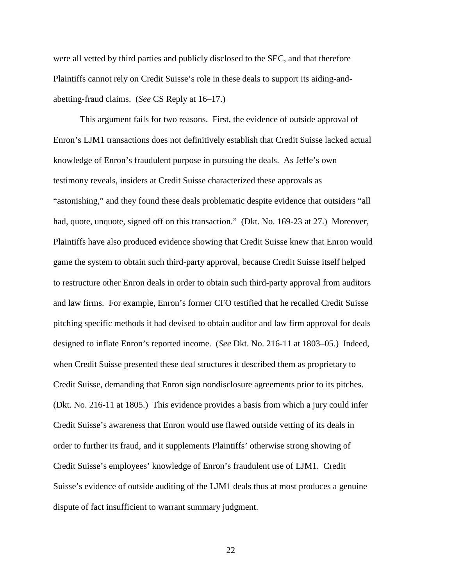were all vetted by third parties and publicly disclosed to the SEC, and that therefore Plaintiffs cannot rely on Credit Suisse's role in these deals to support its aiding-andabetting-fraud claims. (*See* CS Reply at 16–17.)

This argument fails for two reasons. First, the evidence of outside approval of Enron's LJM1 transactions does not definitively establish that Credit Suisse lacked actual knowledge of Enron's fraudulent purpose in pursuing the deals. As Jeffe's own testimony reveals, insiders at Credit Suisse characterized these approvals as "astonishing," and they found these deals problematic despite evidence that outsiders "all had, quote, unquote, signed off on this transaction." (Dkt. No. 169-23 at 27.) Moreover, Plaintiffs have also produced evidence showing that Credit Suisse knew that Enron would game the system to obtain such third-party approval, because Credit Suisse itself helped to restructure other Enron deals in order to obtain such third-party approval from auditors and law firms. For example, Enron's former CFO testified that he recalled Credit Suisse pitching specific methods it had devised to obtain auditor and law firm approval for deals designed to inflate Enron's reported income. (*See* Dkt. No. 216-11 at 1803–05.) Indeed, when Credit Suisse presented these deal structures it described them as proprietary to Credit Suisse, demanding that Enron sign nondisclosure agreements prior to its pitches. (Dkt. No. 216-11 at 1805.) This evidence provides a basis from which a jury could infer Credit Suisse's awareness that Enron would use flawed outside vetting of its deals in order to further its fraud, and it supplements Plaintiffs' otherwise strong showing of Credit Suisse's employees' knowledge of Enron's fraudulent use of LJM1. Credit Suisse's evidence of outside auditing of the LJM1 deals thus at most produces a genuine dispute of fact insufficient to warrant summary judgment.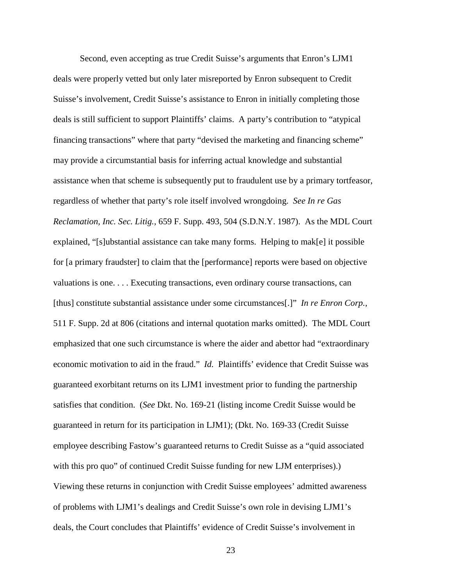Second, even accepting as true Credit Suisse's arguments that Enron's LJM1 deals were properly vetted but only later misreported by Enron subsequent to Credit Suisse's involvement, Credit Suisse's assistance to Enron in initially completing those deals is still sufficient to support Plaintiffs' claims. A party's contribution to "atypical financing transactions" where that party "devised the marketing and financing scheme" may provide a circumstantial basis for inferring actual knowledge and substantial assistance when that scheme is subsequently put to fraudulent use by a primary tortfeasor, regardless of whether that party's role itself involved wrongdoing. *See In re Gas Reclamation, Inc. Sec. Litig.*, 659 F. Supp. 493, 504 (S.D.N.Y. 1987). As the MDL Court explained, "[s]ubstantial assistance can take many forms. Helping to mak[e] it possible for [a primary fraudster] to claim that the [performance] reports were based on objective valuations is one. . . . Executing transactions, even ordinary course transactions, can [thus] constitute substantial assistance under some circumstances[.]" *In re Enron Corp.*, 511 F. Supp. 2d at 806 (citations and internal quotation marks omitted). The MDL Court emphasized that one such circumstance is where the aider and abettor had "extraordinary economic motivation to aid in the fraud." *Id.* Plaintiffs' evidence that Credit Suisse was guaranteed exorbitant returns on its LJM1 investment prior to funding the partnership satisfies that condition. (*See* Dkt. No. 169-21 (listing income Credit Suisse would be guaranteed in return for its participation in LJM1); (Dkt. No. 169-33 (Credit Suisse employee describing Fastow's guaranteed returns to Credit Suisse as a "quid associated with this pro quo" of continued Credit Suisse funding for new LJM enterprises).) Viewing these returns in conjunction with Credit Suisse employees' admitted awareness of problems with LJM1's dealings and Credit Suisse's own role in devising LJM1's deals, the Court concludes that Plaintiffs' evidence of Credit Suisse's involvement in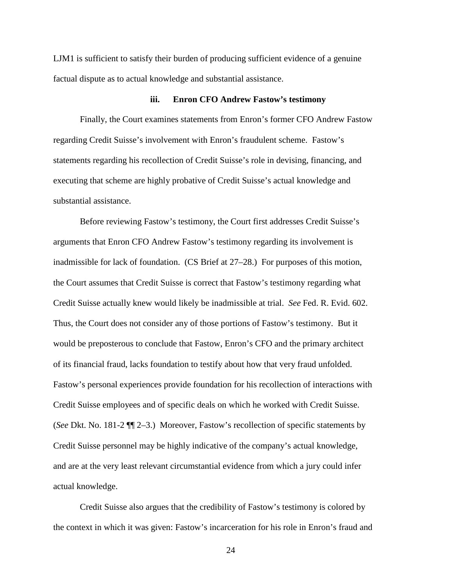LJM1 is sufficient to satisfy their burden of producing sufficient evidence of a genuine factual dispute as to actual knowledge and substantial assistance.

#### **iii. Enron CFO Andrew Fastow's testimony**

Finally, the Court examines statements from Enron's former CFO Andrew Fastow regarding Credit Suisse's involvement with Enron's fraudulent scheme. Fastow's statements regarding his recollection of Credit Suisse's role in devising, financing, and executing that scheme are highly probative of Credit Suisse's actual knowledge and substantial assistance.

Before reviewing Fastow's testimony, the Court first addresses Credit Suisse's arguments that Enron CFO Andrew Fastow's testimony regarding its involvement is inadmissible for lack of foundation. (CS Brief at 27–28.) For purposes of this motion, the Court assumes that Credit Suisse is correct that Fastow's testimony regarding what Credit Suisse actually knew would likely be inadmissible at trial. *See* Fed. R. Evid. 602. Thus, the Court does not consider any of those portions of Fastow's testimony. But it would be preposterous to conclude that Fastow, Enron's CFO and the primary architect of its financial fraud, lacks foundation to testify about how that very fraud unfolded. Fastow's personal experiences provide foundation for his recollection of interactions with Credit Suisse employees and of specific deals on which he worked with Credit Suisse. (*See* Dkt. No. 181-2 ¶¶ 2–3.) Moreover, Fastow's recollection of specific statements by Credit Suisse personnel may be highly indicative of the company's actual knowledge, and are at the very least relevant circumstantial evidence from which a jury could infer actual knowledge.

Credit Suisse also argues that the credibility of Fastow's testimony is colored by the context in which it was given: Fastow's incarceration for his role in Enron's fraud and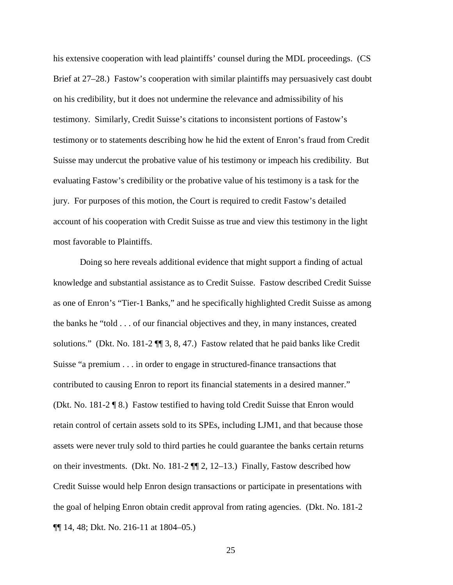his extensive cooperation with lead plaintiffs' counsel during the MDL proceedings. (CS Brief at 27–28.) Fastow's cooperation with similar plaintiffs may persuasively cast doubt on his credibility, but it does not undermine the relevance and admissibility of his testimony. Similarly, Credit Suisse's citations to inconsistent portions of Fastow's testimony or to statements describing how he hid the extent of Enron's fraud from Credit Suisse may undercut the probative value of his testimony or impeach his credibility. But evaluating Fastow's credibility or the probative value of his testimony is a task for the jury. For purposes of this motion, the Court is required to credit Fastow's detailed account of his cooperation with Credit Suisse as true and view this testimony in the light most favorable to Plaintiffs.

Doing so here reveals additional evidence that might support a finding of actual knowledge and substantial assistance as to Credit Suisse. Fastow described Credit Suisse as one of Enron's "Tier-1 Banks," and he specifically highlighted Credit Suisse as among the banks he "told . . . of our financial objectives and they, in many instances, created solutions." (Dkt. No. 181-2 ¶¶ 3, 8, 47.) Fastow related that he paid banks like Credit Suisse "a premium . . . in order to engage in structured-finance transactions that contributed to causing Enron to report its financial statements in a desired manner." (Dkt. No. 181-2 ¶ 8.) Fastow testified to having told Credit Suisse that Enron would retain control of certain assets sold to its SPEs, including LJM1, and that because those assets were never truly sold to third parties he could guarantee the banks certain returns on their investments. (Dkt. No. 181-2 ¶¶ 2, 12–13.) Finally, Fastow described how Credit Suisse would help Enron design transactions or participate in presentations with the goal of helping Enron obtain credit approval from rating agencies. (Dkt. No. 181-2 ¶¶ 14, 48; Dkt. No. 216-11 at 1804–05.)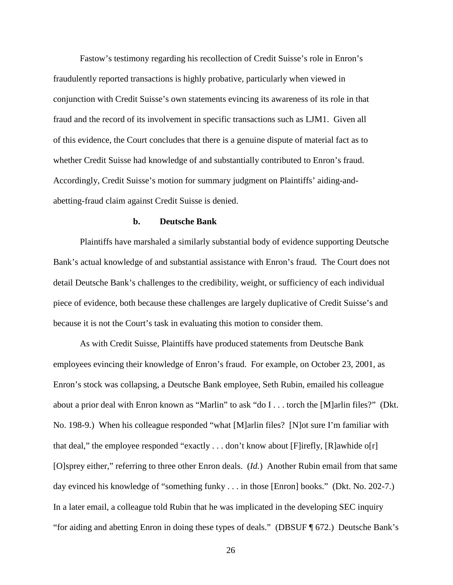Fastow's testimony regarding his recollection of Credit Suisse's role in Enron's fraudulently reported transactions is highly probative, particularly when viewed in conjunction with Credit Suisse's own statements evincing its awareness of its role in that fraud and the record of its involvement in specific transactions such as LJM1. Given all of this evidence, the Court concludes that there is a genuine dispute of material fact as to whether Credit Suisse had knowledge of and substantially contributed to Enron's fraud. Accordingly, Credit Suisse's motion for summary judgment on Plaintiffs' aiding-andabetting-fraud claim against Credit Suisse is denied.

## **b. Deutsche Bank**

Plaintiffs have marshaled a similarly substantial body of evidence supporting Deutsche Bank's actual knowledge of and substantial assistance with Enron's fraud. The Court does not detail Deutsche Bank's challenges to the credibility, weight, or sufficiency of each individual piece of evidence, both because these challenges are largely duplicative of Credit Suisse's and because it is not the Court's task in evaluating this motion to consider them.

As with Credit Suisse, Plaintiffs have produced statements from Deutsche Bank employees evincing their knowledge of Enron's fraud. For example, on October 23, 2001, as Enron's stock was collapsing, a Deutsche Bank employee, Seth Rubin, emailed his colleague about a prior deal with Enron known as "Marlin" to ask "do I . . . torch the [M]arlin files?" (Dkt. No. 198-9.) When his colleague responded "what [M]arlin files? [N]ot sure I'm familiar with that deal," the employee responded "exactly  $\dots$  don't know about [F]irefly, [R]awhide o[r] [O]sprey either," referring to three other Enron deals. (*Id.*) Another Rubin email from that same day evinced his knowledge of "something funky . . . in those [Enron] books." (Dkt. No. 202-7.) In a later email, a colleague told Rubin that he was implicated in the developing SEC inquiry "for aiding and abetting Enron in doing these types of deals." (DBSUF ¶ 672.) Deutsche Bank's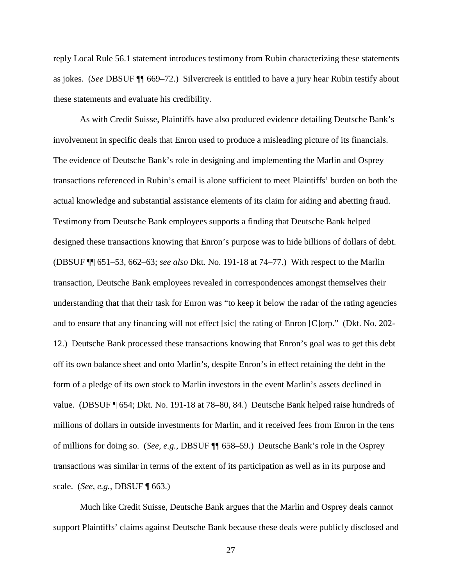reply Local Rule 56.1 statement introduces testimony from Rubin characterizing these statements as jokes. (*See* DBSUF ¶¶ 669–72.) Silvercreek is entitled to have a jury hear Rubin testify about these statements and evaluate his credibility.

As with Credit Suisse, Plaintiffs have also produced evidence detailing Deutsche Bank's involvement in specific deals that Enron used to produce a misleading picture of its financials. The evidence of Deutsche Bank's role in designing and implementing the Marlin and Osprey transactions referenced in Rubin's email is alone sufficient to meet Plaintiffs' burden on both the actual knowledge and substantial assistance elements of its claim for aiding and abetting fraud. Testimony from Deutsche Bank employees supports a finding that Deutsche Bank helped designed these transactions knowing that Enron's purpose was to hide billions of dollars of debt. (DBSUF ¶¶ 651–53, 662–63; *see also* Dkt. No. 191-18 at 74–77.) With respect to the Marlin transaction, Deutsche Bank employees revealed in correspondences amongst themselves their understanding that that their task for Enron was "to keep it below the radar of the rating agencies and to ensure that any financing will not effect [sic] the rating of Enron [C]orp." (Dkt. No. 202- 12.) Deutsche Bank processed these transactions knowing that Enron's goal was to get this debt off its own balance sheet and onto Marlin's, despite Enron's in effect retaining the debt in the form of a pledge of its own stock to Marlin investors in the event Marlin's assets declined in value. (DBSUF ¶ 654; Dkt. No. 191-18 at 78–80, 84.) Deutsche Bank helped raise hundreds of millions of dollars in outside investments for Marlin, and it received fees from Enron in the tens of millions for doing so. (*See, e.g.*, DBSUF ¶¶ 658–59.) Deutsche Bank's role in the Osprey transactions was similar in terms of the extent of its participation as well as in its purpose and scale. (*See, e.g.*, DBSUF ¶ 663.)

Much like Credit Suisse, Deutsche Bank argues that the Marlin and Osprey deals cannot support Plaintiffs' claims against Deutsche Bank because these deals were publicly disclosed and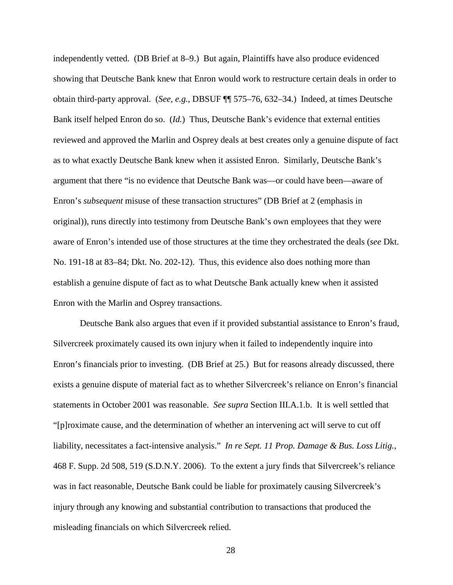independently vetted. (DB Brief at 8–9.) But again, Plaintiffs have also produce evidenced showing that Deutsche Bank knew that Enron would work to restructure certain deals in order to obtain third-party approval. (*See, e.g.*, DBSUF ¶¶ 575–76, 632–34.) Indeed, at times Deutsche Bank itself helped Enron do so. (*Id.*) Thus, Deutsche Bank's evidence that external entities reviewed and approved the Marlin and Osprey deals at best creates only a genuine dispute of fact as to what exactly Deutsche Bank knew when it assisted Enron. Similarly, Deutsche Bank's argument that there "is no evidence that Deutsche Bank was—or could have been—aware of Enron's *subsequent* misuse of these transaction structures" (DB Brief at 2 (emphasis in original)), runs directly into testimony from Deutsche Bank's own employees that they were aware of Enron's intended use of those structures at the time they orchestrated the deals (*see* Dkt. No. 191-18 at 83–84; Dkt. No. 202-12). Thus, this evidence also does nothing more than establish a genuine dispute of fact as to what Deutsche Bank actually knew when it assisted Enron with the Marlin and Osprey transactions.

Deutsche Bank also argues that even if it provided substantial assistance to Enron's fraud, Silvercreek proximately caused its own injury when it failed to independently inquire into Enron's financials prior to investing. (DB Brief at 25.) But for reasons already discussed, there exists a genuine dispute of material fact as to whether Silvercreek's reliance on Enron's financial statements in October 2001 was reasonable. *See supra* Section III.A.1.b. It is well settled that "[p]roximate cause, and the determination of whether an intervening act will serve to cut off liability, necessitates a fact-intensive analysis." *In re Sept. 11 Prop. Damage & Bus. Loss Litig.*, 468 F. Supp. 2d 508, 519 (S.D.N.Y. 2006). To the extent a jury finds that Silvercreek's reliance was in fact reasonable, Deutsche Bank could be liable for proximately causing Silvercreek's injury through any knowing and substantial contribution to transactions that produced the misleading financials on which Silvercreek relied.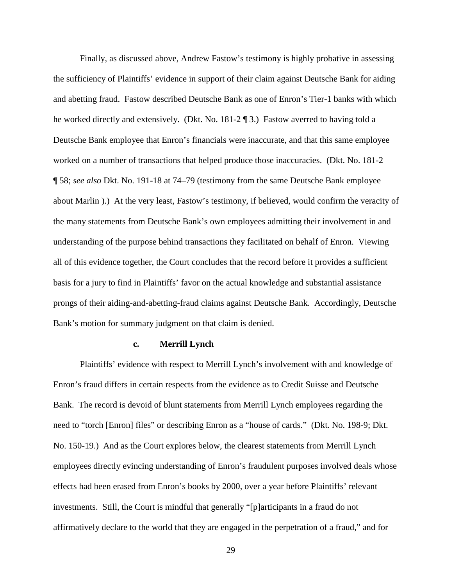Finally, as discussed above, Andrew Fastow's testimony is highly probative in assessing the sufficiency of Plaintiffs' evidence in support of their claim against Deutsche Bank for aiding and abetting fraud. Fastow described Deutsche Bank as one of Enron's Tier-1 banks with which he worked directly and extensively. (Dkt. No. 181-2 ¶ 3.) Fastow averred to having told a Deutsche Bank employee that Enron's financials were inaccurate, and that this same employee worked on a number of transactions that helped produce those inaccuracies. (Dkt. No. 181-2 ¶ 58; *see also* Dkt. No. 191-18 at 74–79 (testimony from the same Deutsche Bank employee about Marlin ).) At the very least, Fastow's testimony, if believed, would confirm the veracity of the many statements from Deutsche Bank's own employees admitting their involvement in and understanding of the purpose behind transactions they facilitated on behalf of Enron. Viewing all of this evidence together, the Court concludes that the record before it provides a sufficient basis for a jury to find in Plaintiffs' favor on the actual knowledge and substantial assistance prongs of their aiding-and-abetting-fraud claims against Deutsche Bank. Accordingly, Deutsche Bank's motion for summary judgment on that claim is denied.

### **c. Merrill Lynch**

Plaintiffs' evidence with respect to Merrill Lynch's involvement with and knowledge of Enron's fraud differs in certain respects from the evidence as to Credit Suisse and Deutsche Bank. The record is devoid of blunt statements from Merrill Lynch employees regarding the need to "torch [Enron] files" or describing Enron as a "house of cards." (Dkt. No. 198-9; Dkt. No. 150-19.) And as the Court explores below, the clearest statements from Merrill Lynch employees directly evincing understanding of Enron's fraudulent purposes involved deals whose effects had been erased from Enron's books by 2000, over a year before Plaintiffs' relevant investments. Still, the Court is mindful that generally "[p]articipants in a fraud do not affirmatively declare to the world that they are engaged in the perpetration of a fraud," and for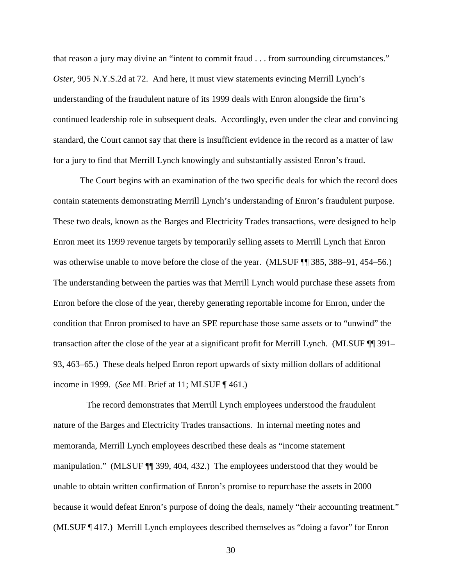that reason a jury may divine an "intent to commit fraud . . . from surrounding circumstances." *Oster*, 905 N.Y.S.2d at 72. And here, it must view statements evincing Merrill Lynch's understanding of the fraudulent nature of its 1999 deals with Enron alongside the firm's continued leadership role in subsequent deals. Accordingly, even under the clear and convincing standard, the Court cannot say that there is insufficient evidence in the record as a matter of law for a jury to find that Merrill Lynch knowingly and substantially assisted Enron's fraud.

The Court begins with an examination of the two specific deals for which the record does contain statements demonstrating Merrill Lynch's understanding of Enron's fraudulent purpose. These two deals, known as the Barges and Electricity Trades transactions, were designed to help Enron meet its 1999 revenue targets by temporarily selling assets to Merrill Lynch that Enron was otherwise unable to move before the close of the year. (MLSUF  $\P$  385, 388–91, 454–56.) The understanding between the parties was that Merrill Lynch would purchase these assets from Enron before the close of the year, thereby generating reportable income for Enron, under the condition that Enron promised to have an SPE repurchase those same assets or to "unwind" the transaction after the close of the year at a significant profit for Merrill Lynch. (MLSUF ¶¶ 391– 93, 463–65.) These deals helped Enron report upwards of sixty million dollars of additional income in 1999. (*See* ML Brief at 11; MLSUF ¶ 461.)

 The record demonstrates that Merrill Lynch employees understood the fraudulent nature of the Barges and Electricity Trades transactions. In internal meeting notes and memoranda, Merrill Lynch employees described these deals as "income statement manipulation." (MLSUF ¶¶ 399, 404, 432.) The employees understood that they would be unable to obtain written confirmation of Enron's promise to repurchase the assets in 2000 because it would defeat Enron's purpose of doing the deals, namely "their accounting treatment." (MLSUF ¶ 417.) Merrill Lynch employees described themselves as "doing a favor" for Enron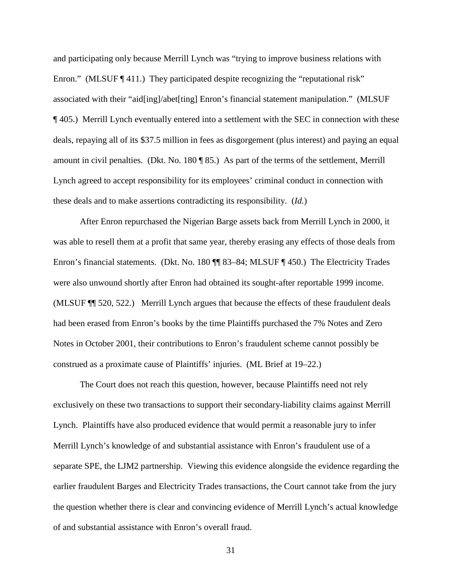and participating only because Merrill Lynch was "trying to improve business relations with Enron." (MLSUF ¶ 411.) They participated despite recognizing the "reputational risk" associated with their "aid[ing]/abet[ting] Enron's financial statement manipulation." (MLSUF ¶ 405.) Merrill Lynch eventually entered into a settlement with the SEC in connection with these deals, repaying all of its \$37.5 million in fees as disgorgement (plus interest) and paying an equal amount in civil penalties. (Dkt. No. 180 ¶ 85.) As part of the terms of the settlement, Merrill Lynch agreed to accept responsibility for its employees' criminal conduct in connection with these deals and to make assertions contradicting its responsibility. (*Id.*)

After Enron repurchased the Nigerian Barge assets back from Merrill Lynch in 2000, it was able to resell them at a profit that same year, thereby erasing any effects of those deals from Enron's financial statements. (Dkt. No. 180 ¶¶ 83–84; MLSUF ¶ 450.) The Electricity Trades were also unwound shortly after Enron had obtained its sought-after reportable 1999 income. (MLSUF ¶¶ 520, 522.) Merrill Lynch argues that because the effects of these fraudulent deals had been erased from Enron's books by the time Plaintiffs purchased the 7% Notes and Zero Notes in October 2001, their contributions to Enron's fraudulent scheme cannot possibly be construed as a proximate cause of Plaintiffs' injuries. (ML Brief at 19–22.)

The Court does not reach this question, however, because Plaintiffs need not rely exclusively on these two transactions to support their secondary-liability claims against Merrill Lynch. Plaintiffs have also produced evidence that would permit a reasonable jury to infer Merrill Lynch's knowledge of and substantial assistance with Enron's fraudulent use of a separate SPE, the LJM2 partnership. Viewing this evidence alongside the evidence regarding the earlier fraudulent Barges and Electricity Trades transactions, the Court cannot take from the jury the question whether there is clear and convincing evidence of Merrill Lynch's actual knowledge of and substantial assistance with Enron's overall fraud.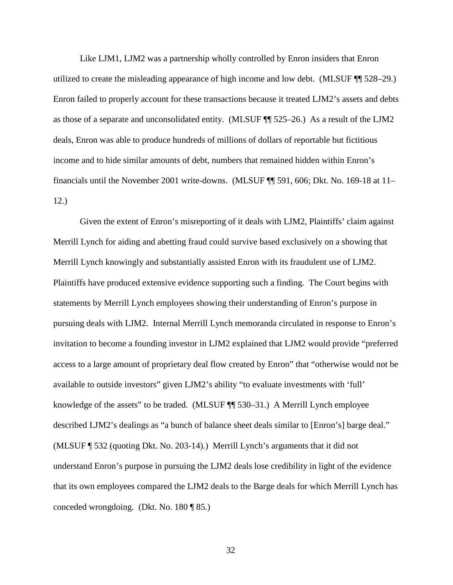Like LJM1, LJM2 was a partnership wholly controlled by Enron insiders that Enron utilized to create the misleading appearance of high income and low debt. (MLSUF ¶¶ 528–29.) Enron failed to properly account for these transactions because it treated LJM2's assets and debts as those of a separate and unconsolidated entity. (MLSUF ¶¶ 525–26.) As a result of the LJM2 deals, Enron was able to produce hundreds of millions of dollars of reportable but fictitious income and to hide similar amounts of debt, numbers that remained hidden within Enron's financials until the November 2001 write-downs. (MLSUF ¶¶ 591, 606; Dkt. No. 169-18 at 11– 12.)

Given the extent of Enron's misreporting of it deals with LJM2, Plaintiffs' claim against Merrill Lynch for aiding and abetting fraud could survive based exclusively on a showing that Merrill Lynch knowingly and substantially assisted Enron with its fraudulent use of LJM2. Plaintiffs have produced extensive evidence supporting such a finding. The Court begins with statements by Merrill Lynch employees showing their understanding of Enron's purpose in pursuing deals with LJM2. Internal Merrill Lynch memoranda circulated in response to Enron's invitation to become a founding investor in LJM2 explained that LJM2 would provide "preferred access to a large amount of proprietary deal flow created by Enron" that "otherwise would not be available to outside investors" given LJM2's ability "to evaluate investments with 'full' knowledge of the assets" to be traded. (MLSUF ¶¶ 530–31.) A Merrill Lynch employee described LJM2's dealings as "a bunch of balance sheet deals similar to [Enron's] barge deal." (MLSUF ¶ 532 (quoting Dkt. No. 203-14).) Merrill Lynch's arguments that it did not understand Enron's purpose in pursuing the LJM2 deals lose credibility in light of the evidence that its own employees compared the LJM2 deals to the Barge deals for which Merrill Lynch has conceded wrongdoing. (Dkt. No. 180 ¶ 85.)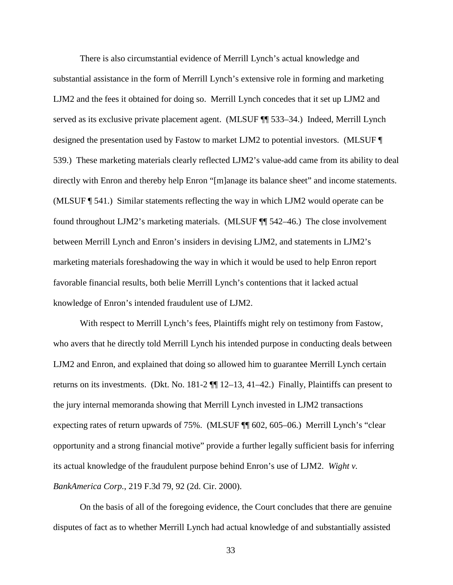There is also circumstantial evidence of Merrill Lynch's actual knowledge and substantial assistance in the form of Merrill Lynch's extensive role in forming and marketing LJM2 and the fees it obtained for doing so. Merrill Lynch concedes that it set up LJM2 and served as its exclusive private placement agent. (MLSUF ¶¶ 533–34.) Indeed, Merrill Lynch designed the presentation used by Fastow to market LJM2 to potential investors. (MLSUF ¶ 539.) These marketing materials clearly reflected LJM2's value-add came from its ability to deal directly with Enron and thereby help Enron "[m]anage its balance sheet" and income statements. (MLSUF ¶ 541.) Similar statements reflecting the way in which LJM2 would operate can be found throughout LJM2's marketing materials. (MLSUF ¶¶ 542–46.) The close involvement between Merrill Lynch and Enron's insiders in devising LJM2, and statements in LJM2's marketing materials foreshadowing the way in which it would be used to help Enron report favorable financial results, both belie Merrill Lynch's contentions that it lacked actual knowledge of Enron's intended fraudulent use of LJM2.

With respect to Merrill Lynch's fees, Plaintiffs might rely on testimony from Fastow, who avers that he directly told Merrill Lynch his intended purpose in conducting deals between LJM2 and Enron, and explained that doing so allowed him to guarantee Merrill Lynch certain returns on its investments. (Dkt. No. 181-2 ¶¶ 12–13, 41–42.) Finally, Plaintiffs can present to the jury internal memoranda showing that Merrill Lynch invested in LJM2 transactions expecting rates of return upwards of 75%. (MLSUF ¶¶ 602, 605–06.) Merrill Lynch's "clear opportunity and a strong financial motive" provide a further legally sufficient basis for inferring its actual knowledge of the fraudulent purpose behind Enron's use of LJM2. *Wight v. BankAmerica Corp.*, 219 F.3d 79, 92 (2d. Cir. 2000).

On the basis of all of the foregoing evidence, the Court concludes that there are genuine disputes of fact as to whether Merrill Lynch had actual knowledge of and substantially assisted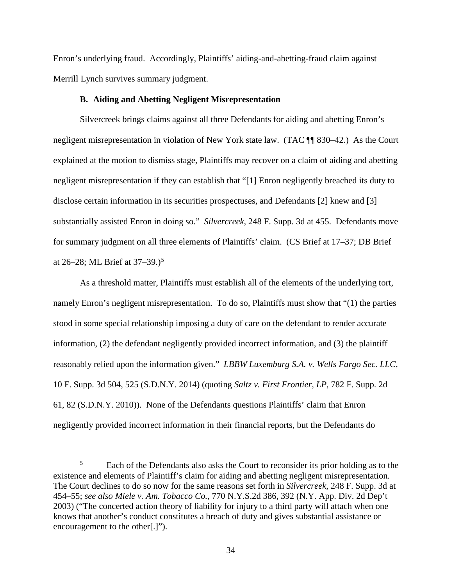Enron's underlying fraud. Accordingly, Plaintiffs' aiding-and-abetting-fraud claim against Merrill Lynch survives summary judgment.

## **B. Aiding and Abetting Negligent Misrepresentation**

Silvercreek brings claims against all three Defendants for aiding and abetting Enron's negligent misrepresentation in violation of New York state law. (TAC ¶¶ 830–42.) As the Court explained at the motion to dismiss stage, Plaintiffs may recover on a claim of aiding and abetting negligent misrepresentation if they can establish that "[1] Enron negligently breached its duty to disclose certain information in its securities prospectuses, and Defendants [2] knew and [3] substantially assisted Enron in doing so." *Silvercreek*, 248 F. Supp. 3d at 455. Defendants move for summary judgment on all three elements of Plaintiffs' claim. (CS Brief at 17–37; DB Brief at 26–28; ML Brief at  $37-39.$ )<sup>5</sup>

As a threshold matter, Plaintiffs must establish all of the elements of the underlying tort, namely Enron's negligent misrepresentation. To do so, Plaintiffs must show that "(1) the parties stood in some special relationship imposing a duty of care on the defendant to render accurate information, (2) the defendant negligently provided incorrect information, and (3) the plaintiff reasonably relied upon the information given." *LBBW Luxemburg S.A. v. Wells Fargo Sec. LLC*, 10 F. Supp. 3d 504, 525 (S.D.N.Y. 2014) (quoting *Saltz v. First Frontier, LP*, 782 F. Supp. 2d 61, 82 (S.D.N.Y. 2010)). None of the Defendants questions Plaintiffs' claim that Enron negligently provided incorrect information in their financial reports, but the Defendants do

 $\frac{1}{5}$ <sup>5</sup> Each of the Defendants also asks the Court to reconsider its prior holding as to the existence and elements of Plaintiff's claim for aiding and abetting negligent misrepresentation. The Court declines to do so now for the same reasons set forth in *Silvercreek*, 248 F. Supp. 3d at 454–55; *see also Miele v. Am. Tobacco Co.*, 770 N.Y.S.2d 386, 392 (N.Y. App. Div. 2d Dep't 2003) ("The concerted action theory of liability for injury to a third party will attach when one knows that another's conduct constitutes a breach of duty and gives substantial assistance or encouragement to the other[.]").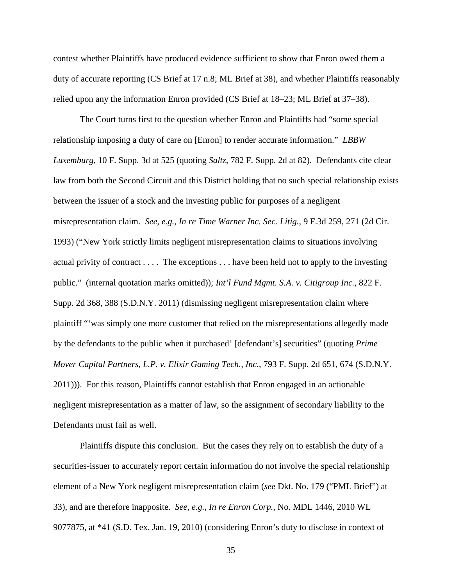contest whether Plaintiffs have produced evidence sufficient to show that Enron owed them a duty of accurate reporting (CS Brief at 17 n.8; ML Brief at 38), and whether Plaintiffs reasonably relied upon any the information Enron provided (CS Brief at 18–23; ML Brief at 37–38).

The Court turns first to the question whether Enron and Plaintiffs had "some special relationship imposing a duty of care on [Enron] to render accurate information." *LBBW Luxemburg*, 10 F. Supp. 3d at 525 (quoting *Saltz*, 782 F. Supp. 2d at 82). Defendants cite clear law from both the Second Circuit and this District holding that no such special relationship exists between the issuer of a stock and the investing public for purposes of a negligent misrepresentation claim. *See, e.g.*, *In re Time Warner Inc. Sec. Litig.*, 9 F.3d 259, 271 (2d Cir. 1993) ("New York strictly limits negligent misrepresentation claims to situations involving actual privity of contract . . . . The exceptions . . . have been held not to apply to the investing public." (internal quotation marks omitted)); *Int'l Fund Mgmt. S.A. v. Citigroup Inc.*, 822 F. Supp. 2d 368, 388 (S.D.N.Y. 2011) (dismissing negligent misrepresentation claim where plaintiff "'was simply one more customer that relied on the misrepresentations allegedly made by the defendants to the public when it purchased' [defendant's] securities" (quoting *Prime Mover Capital Partners, L.P. v. Elixir Gaming Tech., Inc.*, 793 F. Supp. 2d 651, 674 (S.D.N.Y. 2011))). For this reason, Plaintiffs cannot establish that Enron engaged in an actionable negligent misrepresentation as a matter of law, so the assignment of secondary liability to the Defendants must fail as well.

Plaintiffs dispute this conclusion. But the cases they rely on to establish the duty of a securities-issuer to accurately report certain information do not involve the special relationship element of a New York negligent misrepresentation claim (*see* Dkt. No. 179 ("PML Brief") at 33), and are therefore inapposite. *See, e.g.*, *In re Enron Corp.*, No. MDL 1446, 2010 WL 9077875, at \*41 (S.D. Tex. Jan. 19, 2010) (considering Enron's duty to disclose in context of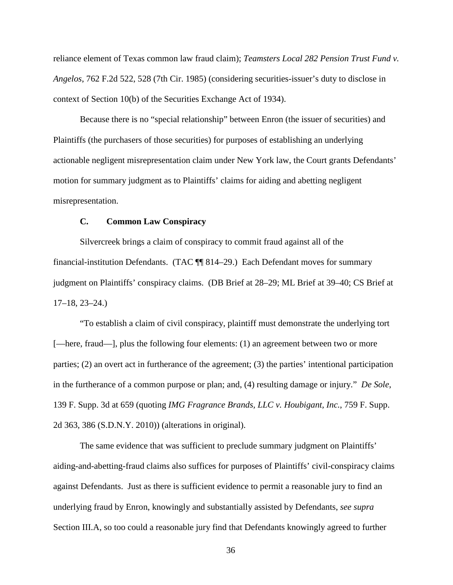reliance element of Texas common law fraud claim); *Teamsters Local 282 Pension Trust Fund v. Angelos*, 762 F.2d 522, 528 (7th Cir. 1985) (considering securities-issuer's duty to disclose in context of Section 10(b) of the Securities Exchange Act of 1934).

Because there is no "special relationship" between Enron (the issuer of securities) and Plaintiffs (the purchasers of those securities) for purposes of establishing an underlying actionable negligent misrepresentation claim under New York law, the Court grants Defendants' motion for summary judgment as to Plaintiffs' claims for aiding and abetting negligent misrepresentation.

## **C. Common Law Conspiracy**

Silvercreek brings a claim of conspiracy to commit fraud against all of the financial-institution Defendants. (TAC ¶¶ 814–29.) Each Defendant moves for summary judgment on Plaintiffs' conspiracy claims. (DB Brief at 28–29; ML Brief at 39–40; CS Brief at 17–18, 23–24.)

"To establish a claim of civil conspiracy, plaintiff must demonstrate the underlying tort [—here, fraud—], plus the following four elements: (1) an agreement between two or more parties; (2) an overt act in furtherance of the agreement; (3) the parties' intentional participation in the furtherance of a common purpose or plan; and, (4) resulting damage or injury." *De Sole*, 139 F. Supp. 3d at 659 (quoting *IMG Fragrance Brands, LLC v. Houbigant, Inc.*, 759 F. Supp. 2d 363, 386 (S.D.N.Y. 2010)) (alterations in original).

The same evidence that was sufficient to preclude summary judgment on Plaintiffs' aiding-and-abetting-fraud claims also suffices for purposes of Plaintiffs' civil-conspiracy claims against Defendants. Just as there is sufficient evidence to permit a reasonable jury to find an underlying fraud by Enron, knowingly and substantially assisted by Defendants, *see supra*  Section III.A, so too could a reasonable jury find that Defendants knowingly agreed to further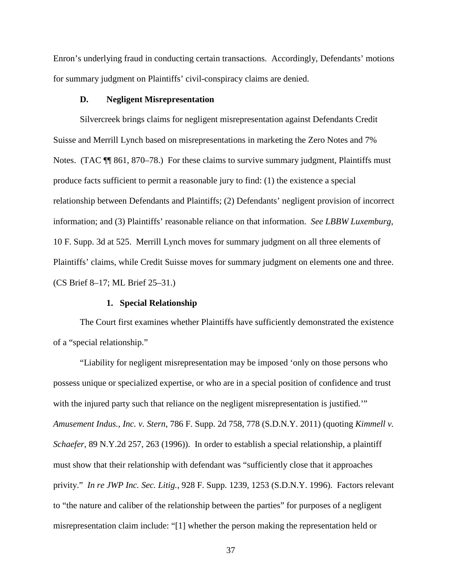Enron's underlying fraud in conducting certain transactions. Accordingly, Defendants' motions for summary judgment on Plaintiffs' civil-conspiracy claims are denied.

## **D. Negligent Misrepresentation**

Silvercreek brings claims for negligent misrepresentation against Defendants Credit Suisse and Merrill Lynch based on misrepresentations in marketing the Zero Notes and 7% Notes. (TAC  $\P$  861, 870–78.) For these claims to survive summary judgment, Plaintiffs must produce facts sufficient to permit a reasonable jury to find: (1) the existence a special relationship between Defendants and Plaintiffs; (2) Defendants' negligent provision of incorrect information; and (3) Plaintiffs' reasonable reliance on that information. *See LBBW Luxemburg*, 10 F. Supp. 3d at 525. Merrill Lynch moves for summary judgment on all three elements of Plaintiffs' claims, while Credit Suisse moves for summary judgment on elements one and three. (CS Brief 8–17; ML Brief 25–31.)

# **1. Special Relationship**

The Court first examines whether Plaintiffs have sufficiently demonstrated the existence of a "special relationship."

"Liability for negligent misrepresentation may be imposed 'only on those persons who possess unique or specialized expertise, or who are in a special position of confidence and trust with the injured party such that reliance on the negligent misrepresentation is justified." *Amusement Indus., Inc. v. Stern*, 786 F. Supp. 2d 758, 778 (S.D.N.Y. 2011) (quoting *Kimmell v. Schaefer*, 89 N.Y.2d 257, 263 (1996)). In order to establish a special relationship, a plaintiff must show that their relationship with defendant was "sufficiently close that it approaches privity." *In re JWP Inc. Sec. Litig.*, 928 F. Supp. 1239, 1253 (S.D.N.Y. 1996). Factors relevant to "the nature and caliber of the relationship between the parties" for purposes of a negligent misrepresentation claim include: "[1] whether the person making the representation held or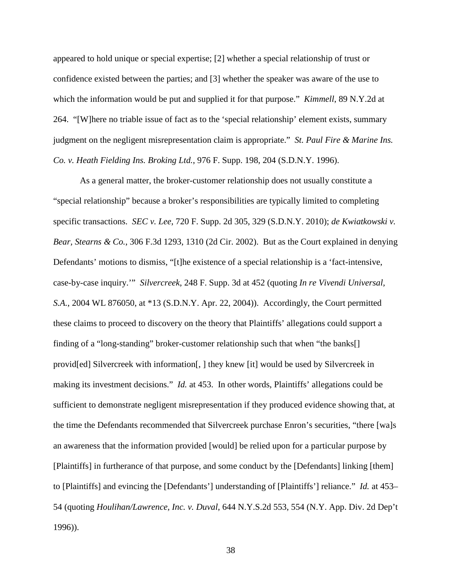appeared to hold unique or special expertise; [2] whether a special relationship of trust or confidence existed between the parties; and [3] whether the speaker was aware of the use to which the information would be put and supplied it for that purpose." *Kimmell*, 89 N.Y.2d at 264. "[W]here no triable issue of fact as to the 'special relationship' element exists, summary judgment on the negligent misrepresentation claim is appropriate." *St. Paul Fire & Marine Ins. Co. v. Heath Fielding Ins. Broking Ltd.*, 976 F. Supp. 198, 204 (S.D.N.Y. 1996).

As a general matter, the broker-customer relationship does not usually constitute a "special relationship" because a broker's responsibilities are typically limited to completing specific transactions. *SEC v. Lee*, 720 F. Supp. 2d 305, 329 (S.D.N.Y. 2010); *de Kwiatkowski v. Bear, Stearns & Co.*, 306 F.3d 1293, 1310 (2d Cir. 2002). But as the Court explained in denying Defendants' motions to dismiss, "[t]he existence of a special relationship is a 'fact-intensive, case-by-case inquiry.'" *Silvercreek*, 248 F. Supp. 3d at 452 (quoting *In re Vivendi Universal, S.A.*, 2004 WL 876050, at \*13 (S.D.N.Y. Apr. 22, 2004)). Accordingly, the Court permitted these claims to proceed to discovery on the theory that Plaintiffs' allegations could support a finding of a "long-standing" broker-customer relationship such that when "the banks[] provid[ed] Silvercreek with information[, ] they knew [it] would be used by Silvercreek in making its investment decisions." *Id.* at 453. In other words, Plaintiffs' allegations could be sufficient to demonstrate negligent misrepresentation if they produced evidence showing that, at the time the Defendants recommended that Silvercreek purchase Enron's securities, "there [wa]s an awareness that the information provided [would] be relied upon for a particular purpose by [Plaintiffs] in furtherance of that purpose, and some conduct by the [Defendants] linking [them] to [Plaintiffs] and evincing the [Defendants'] understanding of [Plaintiffs'] reliance." *Id.* at 453– 54 (quoting *Houlihan/Lawrence, Inc. v. Duval*, 644 N.Y.S.2d 553, 554 (N.Y. App. Div. 2d Dep't 1996)).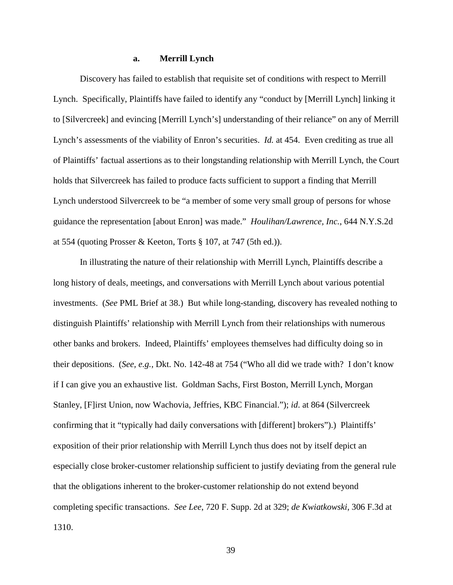## **a. Merrill Lynch**

Discovery has failed to establish that requisite set of conditions with respect to Merrill Lynch. Specifically, Plaintiffs have failed to identify any "conduct by [Merrill Lynch] linking it to [Silvercreek] and evincing [Merrill Lynch's] understanding of their reliance" on any of Merrill Lynch's assessments of the viability of Enron's securities. *Id.* at 454. Even crediting as true all of Plaintiffs' factual assertions as to their longstanding relationship with Merrill Lynch, the Court holds that Silvercreek has failed to produce facts sufficient to support a finding that Merrill Lynch understood Silvercreek to be "a member of some very small group of persons for whose guidance the representation [about Enron] was made." *Houlihan/Lawrence, Inc.*, 644 N.Y.S.2d at 554 (quoting Prosser & Keeton, Torts § 107, at 747 (5th ed.)).

In illustrating the nature of their relationship with Merrill Lynch, Plaintiffs describe a long history of deals, meetings, and conversations with Merrill Lynch about various potential investments. (*See* PML Brief at 38.) But while long-standing, discovery has revealed nothing to distinguish Plaintiffs' relationship with Merrill Lynch from their relationships with numerous other banks and brokers. Indeed, Plaintiffs' employees themselves had difficulty doing so in their depositions. (*See, e.g.*, Dkt. No. 142-48 at 754 ("Who all did we trade with? I don't know if I can give you an exhaustive list. Goldman Sachs, First Boston, Merrill Lynch, Morgan Stanley, [F]irst Union, now Wachovia, Jeffries, KBC Financial."); *id*. at 864 (Silvercreek confirming that it "typically had daily conversations with [different] brokers").) Plaintiffs' exposition of their prior relationship with Merrill Lynch thus does not by itself depict an especially close broker-customer relationship sufficient to justify deviating from the general rule that the obligations inherent to the broker-customer relationship do not extend beyond completing specific transactions. *See Lee*, 720 F. Supp. 2d at 329; *de Kwiatkowski*, 306 F.3d at 1310.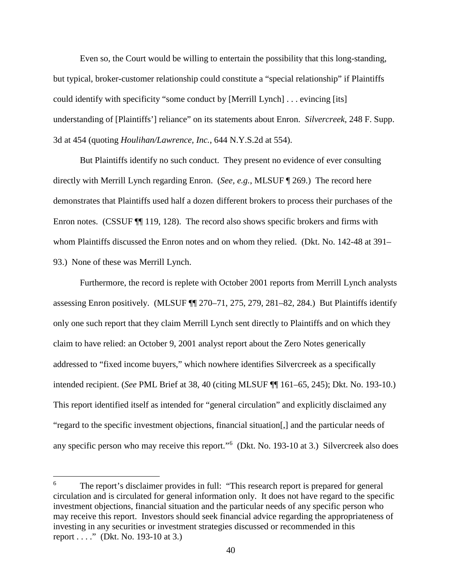Even so, the Court would be willing to entertain the possibility that this long-standing, but typical, broker-customer relationship could constitute a "special relationship" if Plaintiffs could identify with specificity "some conduct by [Merrill Lynch] . . . evincing [its] understanding of [Plaintiffs'] reliance" on its statements about Enron. *Silvercreek*, 248 F. Supp. 3d at 454 (quoting *Houlihan/Lawrence, Inc.*, 644 N.Y.S.2d at 554).

But Plaintiffs identify no such conduct. They present no evidence of ever consulting directly with Merrill Lynch regarding Enron. (*See, e.g.*, MLSUF ¶ 269.) The record here demonstrates that Plaintiffs used half a dozen different brokers to process their purchases of the Enron notes. (CSSUF  $\P$  119, 128). The record also shows specific brokers and firms with whom Plaintiffs discussed the Enron notes and on whom they relied. (Dkt. No. 142-48 at 391– 93.) None of these was Merrill Lynch.

Furthermore, the record is replete with October 2001 reports from Merrill Lynch analysts assessing Enron positively. (MLSUF ¶¶ 270–71, 275, 279, 281–82, 284.) But Plaintiffs identify only one such report that they claim Merrill Lynch sent directly to Plaintiffs and on which they claim to have relied: an October 9, 2001 analyst report about the Zero Notes generically addressed to "fixed income buyers," which nowhere identifies Silvercreek as a specifically intended recipient. (*See* PML Brief at 38, 40 (citing MLSUF ¶¶ 161–65, 245); Dkt. No. 193-10.) This report identified itself as intended for "general circulation" and explicitly disclaimed any "regard to the specific investment objections, financial situation[,] and the particular needs of any specific person who may receive this report."<sup>6</sup> (Dkt. No. 193-10 at 3.) Silvercreek also does

 $\overline{a}$ 

<sup>6</sup> The report's disclaimer provides in full: "This research report is prepared for general circulation and is circulated for general information only. It does not have regard to the specific investment objections, financial situation and the particular needs of any specific person who may receive this report. Investors should seek financial advice regarding the appropriateness of investing in any securities or investment strategies discussed or recommended in this report . . . ." (Dkt. No. 193-10 at 3.)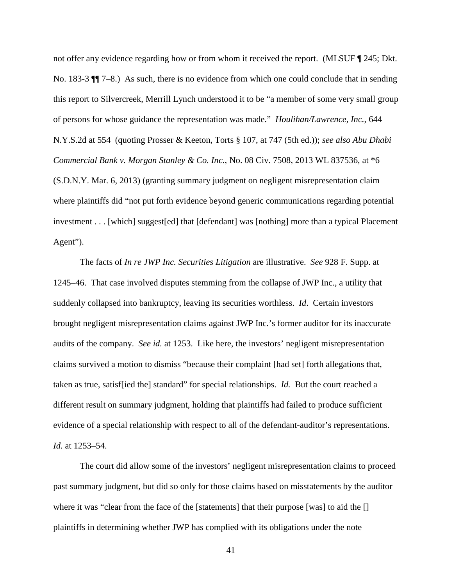not offer any evidence regarding how or from whom it received the report. (MLSUF ¶ 245; Dkt. No. 183-3 ¶¶ 7–8.) As such, there is no evidence from which one could conclude that in sending this report to Silvercreek, Merrill Lynch understood it to be "a member of some very small group of persons for whose guidance the representation was made." *Houlihan/Lawrence, Inc.*, 644 N.Y.S.2d at 554 (quoting Prosser & Keeton, Torts § 107, at 747 (5th ed.)); *see also Abu Dhabi Commercial Bank v. Morgan Stanley & Co. Inc.*, No. 08 Civ. 7508, 2013 WL 837536, at \*6 (S.D.N.Y. Mar. 6, 2013) (granting summary judgment on negligent misrepresentation claim where plaintiffs did "not put forth evidence beyond generic communications regarding potential investment . . . [which] suggest[ed] that [defendant] was [nothing] more than a typical Placement Agent").

The facts of *In re JWP Inc. Securities Litigation* are illustrative. *See* 928 F. Supp. at 1245–46. That case involved disputes stemming from the collapse of JWP Inc., a utility that suddenly collapsed into bankruptcy, leaving its securities worthless. *Id*. Certain investors brought negligent misrepresentation claims against JWP Inc.'s former auditor for its inaccurate audits of the company. *See id.* at 1253. Like here, the investors' negligent misrepresentation claims survived a motion to dismiss "because their complaint [had set] forth allegations that, taken as true, satisf[ied the] standard" for special relationships. *Id.* But the court reached a different result on summary judgment, holding that plaintiffs had failed to produce sufficient evidence of a special relationship with respect to all of the defendant-auditor's representations. *Id.* at 1253–54.

The court did allow some of the investors' negligent misrepresentation claims to proceed past summary judgment, but did so only for those claims based on misstatements by the auditor where it was "clear from the face of the [statements] that their purpose [was] to aid the [] plaintiffs in determining whether JWP has complied with its obligations under the note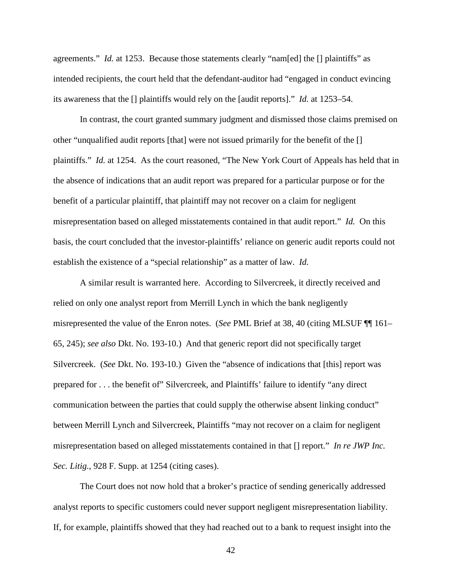agreements." *Id.* at 1253. Because those statements clearly "nam[ed] the [] plaintiffs" as intended recipients, the court held that the defendant-auditor had "engaged in conduct evincing its awareness that the [] plaintiffs would rely on the [audit reports]." *Id.* at 1253–54.

In contrast, the court granted summary judgment and dismissed those claims premised on other "unqualified audit reports [that] were not issued primarily for the benefit of the [] plaintiffs." *Id.* at 1254. As the court reasoned, "The New York Court of Appeals has held that in the absence of indications that an audit report was prepared for a particular purpose or for the benefit of a particular plaintiff, that plaintiff may not recover on a claim for negligent misrepresentation based on alleged misstatements contained in that audit report." *Id.* On this basis, the court concluded that the investor-plaintiffs' reliance on generic audit reports could not establish the existence of a "special relationship" as a matter of law. *Id.* 

A similar result is warranted here. According to Silvercreek, it directly received and relied on only one analyst report from Merrill Lynch in which the bank negligently misrepresented the value of the Enron notes. (*See* PML Brief at 38, 40 (citing MLSUF ¶¶ 161– 65, 245); *see also* Dkt. No. 193-10.) And that generic report did not specifically target Silvercreek. (*See* Dkt. No. 193-10.) Given the "absence of indications that [this] report was prepared for . . . the benefit of" Silvercreek, and Plaintiffs' failure to identify "any direct communication between the parties that could supply the otherwise absent linking conduct" between Merrill Lynch and Silvercreek, Plaintiffs "may not recover on a claim for negligent misrepresentation based on alleged misstatements contained in that [] report." *In re JWP Inc. Sec. Litig.*, 928 F. Supp. at 1254 (citing cases).

The Court does not now hold that a broker's practice of sending generically addressed analyst reports to specific customers could never support negligent misrepresentation liability. If, for example, plaintiffs showed that they had reached out to a bank to request insight into the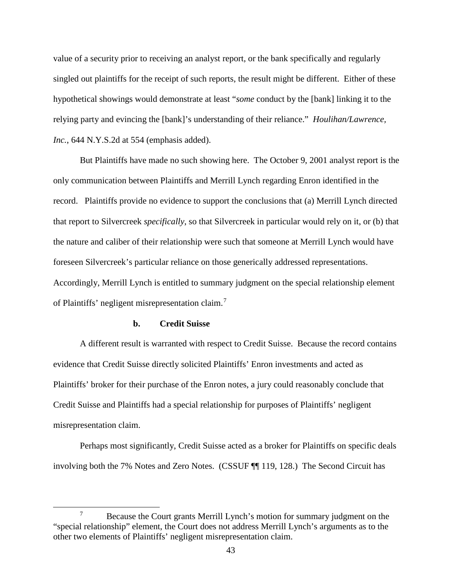value of a security prior to receiving an analyst report, or the bank specifically and regularly singled out plaintiffs for the receipt of such reports, the result might be different. Either of these hypothetical showings would demonstrate at least "*some* conduct by the [bank] linking it to the relying party and evincing the [bank]'s understanding of their reliance." *Houlihan/Lawrence, Inc.*, 644 N.Y.S.2d at 554 (emphasis added).

But Plaintiffs have made no such showing here. The October 9, 2001 analyst report is the only communication between Plaintiffs and Merrill Lynch regarding Enron identified in the record. Plaintiffs provide no evidence to support the conclusions that (a) Merrill Lynch directed that report to Silvercreek *specifically*, so that Silvercreek in particular would rely on it, or (b) that the nature and caliber of their relationship were such that someone at Merrill Lynch would have foreseen Silvercreek's particular reliance on those generically addressed representations. Accordingly, Merrill Lynch is entitled to summary judgment on the special relationship element of Plaintiffs' negligent misrepresentation claim.<sup>7</sup>

## **b. Credit Suisse**

A different result is warranted with respect to Credit Suisse. Because the record contains evidence that Credit Suisse directly solicited Plaintiffs' Enron investments and acted as Plaintiffs' broker for their purchase of the Enron notes, a jury could reasonably conclude that Credit Suisse and Plaintiffs had a special relationship for purposes of Plaintiffs' negligent misrepresentation claim.

Perhaps most significantly, Credit Suisse acted as a broker for Plaintiffs on specific deals involving both the 7% Notes and Zero Notes. (CSSUF ¶¶ 119, 128.) The Second Circuit has

 <sup>7</sup>  $\frac{1}{2}$  Because the Court grants Merrill Lynch's motion for summary judgment on the "special relationship" element, the Court does not address Merrill Lynch's arguments as to the other two elements of Plaintiffs' negligent misrepresentation claim.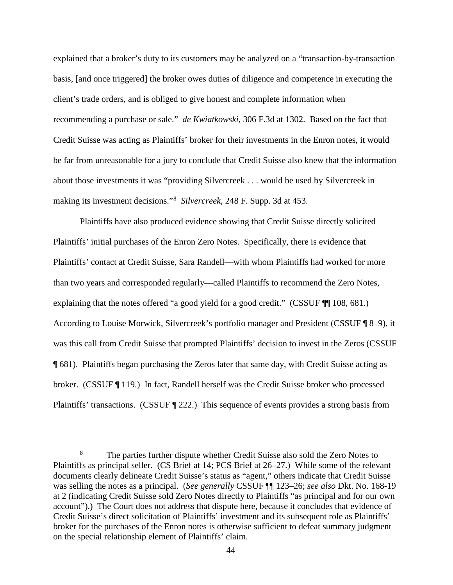explained that a broker's duty to its customers may be analyzed on a "transaction-by-transaction basis, [and once triggered] the broker owes duties of diligence and competence in executing the client's trade orders, and is obliged to give honest and complete information when recommending a purchase or sale." *de Kwiatkowski*, 306 F.3d at 1302. Based on the fact that Credit Suisse was acting as Plaintiffs' broker for their investments in the Enron notes, it would be far from unreasonable for a jury to conclude that Credit Suisse also knew that the information about those investments it was "providing Silvercreek . . . would be used by Silvercreek in making its investment decisions."<sup>8</sup> *Silvercreek*, 248 F. Supp. 3d at 453.

Plaintiffs have also produced evidence showing that Credit Suisse directly solicited Plaintiffs' initial purchases of the Enron Zero Notes. Specifically, there is evidence that Plaintiffs' contact at Credit Suisse, Sara Randell—with whom Plaintiffs had worked for more than two years and corresponded regularly—called Plaintiffs to recommend the Zero Notes, explaining that the notes offered "a good yield for a good credit." (CSSUF ¶ 108, 681.) According to Louise Morwick, Silvercreek's portfolio manager and President (CSSUF ¶ 8–9), it was this call from Credit Suisse that prompted Plaintiffs' decision to invest in the Zeros (CSSUF ¶ 681). Plaintiffs began purchasing the Zeros later that same day, with Credit Suisse acting as broker. (CSSUF ¶ 119.) In fact, Randell herself was the Credit Suisse broker who processed Plaintiffs' transactions. (CSSUF ¶ 222.) This sequence of events provides a strong basis from

 <sup>8</sup> The parties further dispute whether Credit Suisse also sold the Zero Notes to Plaintiffs as principal seller. (CS Brief at 14; PCS Brief at 26–27.) While some of the relevant documents clearly delineate Credit Suisse's status as "agent," others indicate that Credit Suisse was selling the notes as a principal. (*See generally* CSSUF ¶¶ 123–26; *see also* Dkt. No. 168-19 at 2 (indicating Credit Suisse sold Zero Notes directly to Plaintiffs "as principal and for our own account").) The Court does not address that dispute here, because it concludes that evidence of Credit Suisse's direct solicitation of Plaintiffs' investment and its subsequent role as Plaintiffs' broker for the purchases of the Enron notes is otherwise sufficient to defeat summary judgment on the special relationship element of Plaintiffs' claim.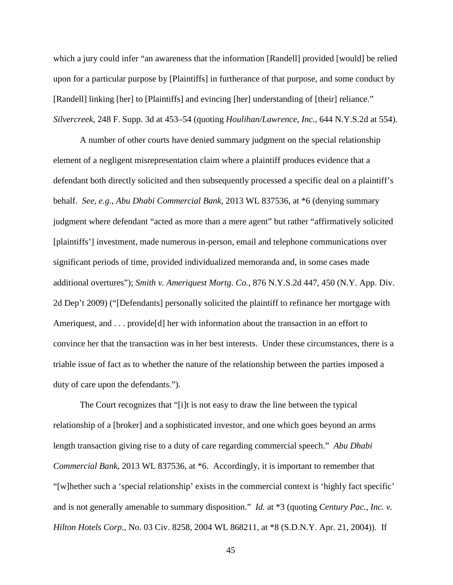which a jury could infer "an awareness that the information [Randell] provided [would] be relied upon for a particular purpose by [Plaintiffs] in furtherance of that purpose, and some conduct by [Randell] linking [her] to [Plaintiffs] and evincing [her] understanding of [their] reliance." *Silvercreek*, 248 F. Supp. 3d at 453–54 (quoting *Houlihan/Lawrence, Inc.*, 644 N.Y.S.2d at 554).

A number of other courts have denied summary judgment on the special relationship element of a negligent misrepresentation claim where a plaintiff produces evidence that a defendant both directly solicited and then subsequently processed a specific deal on a plaintiff's behalf. *See, e.g.*, *Abu Dhabi Commercial Bank*, 2013 WL 837536, at \*6 (denying summary judgment where defendant "acted as more than a mere agent" but rather "affirmatively solicited [plaintiffs'] investment, made numerous in-person, email and telephone communications over significant periods of time, provided individualized memoranda and, in some cases made additional overtures"); *Smith v. Ameriquest Mortg. Co.*, 876 N.Y.S.2d 447, 450 (N.Y. App. Div. 2d Dep't 2009) ("[Defendants] personally solicited the plaintiff to refinance her mortgage with Ameriquest, and . . . provide [d] her with information about the transaction in an effort to convince her that the transaction was in her best interests. Under these circumstances, there is a triable issue of fact as to whether the nature of the relationship between the parties imposed a duty of care upon the defendants.").

The Court recognizes that "[i]t is not easy to draw the line between the typical relationship of a [broker] and a sophisticated investor, and one which goes beyond an arms length transaction giving rise to a duty of care regarding commercial speech." *Abu Dhabi Commercial Bank*, 2013 WL 837536, at \*6. Accordingly, it is important to remember that "[w]hether such a 'special relationship' exists in the commercial context is 'highly fact specific' and is not generally amenable to summary disposition." *Id.* at \*3 (quoting *Century Pac., Inc. v. Hilton Hotels Corp.*, No. 03 Civ. 8258, 2004 WL 868211, at \*8 (S.D.N.Y. Apr. 21, 2004)). If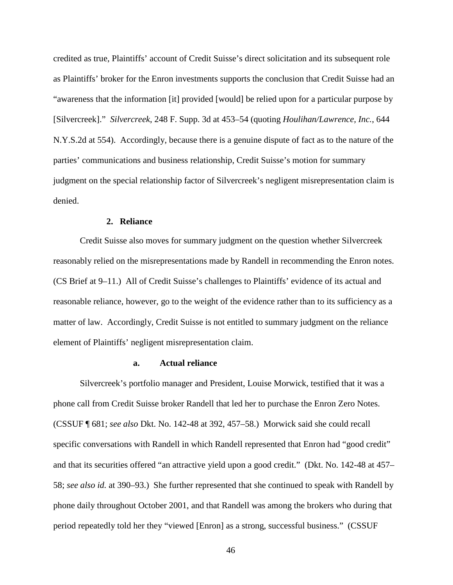credited as true, Plaintiffs' account of Credit Suisse's direct solicitation and its subsequent role as Plaintiffs' broker for the Enron investments supports the conclusion that Credit Suisse had an "awareness that the information [it] provided [would] be relied upon for a particular purpose by [Silvercreek]." *Silvercreek*, 248 F. Supp. 3d at 453–54 (quoting *Houlihan/Lawrence, Inc.*, 644 N.Y.S.2d at 554). Accordingly, because there is a genuine dispute of fact as to the nature of the parties' communications and business relationship, Credit Suisse's motion for summary judgment on the special relationship factor of Silvercreek's negligent misrepresentation claim is denied.

## **2. Reliance**

Credit Suisse also moves for summary judgment on the question whether Silvercreek reasonably relied on the misrepresentations made by Randell in recommending the Enron notes. (CS Brief at 9–11.) All of Credit Suisse's challenges to Plaintiffs' evidence of its actual and reasonable reliance, however, go to the weight of the evidence rather than to its sufficiency as a matter of law. Accordingly, Credit Suisse is not entitled to summary judgment on the reliance element of Plaintiffs' negligent misrepresentation claim.

# **a. Actual reliance**

Silvercreek's portfolio manager and President, Louise Morwick, testified that it was a phone call from Credit Suisse broker Randell that led her to purchase the Enron Zero Notes. (CSSUF ¶ 681; *see also* Dkt. No. 142-48 at 392, 457–58.) Morwick said she could recall specific conversations with Randell in which Randell represented that Enron had "good credit" and that its securities offered "an attractive yield upon a good credit." (Dkt. No. 142-48 at 457– 58; *see also id.* at 390–93.) She further represented that she continued to speak with Randell by phone daily throughout October 2001, and that Randell was among the brokers who during that period repeatedly told her they "viewed [Enron] as a strong, successful business." (CSSUF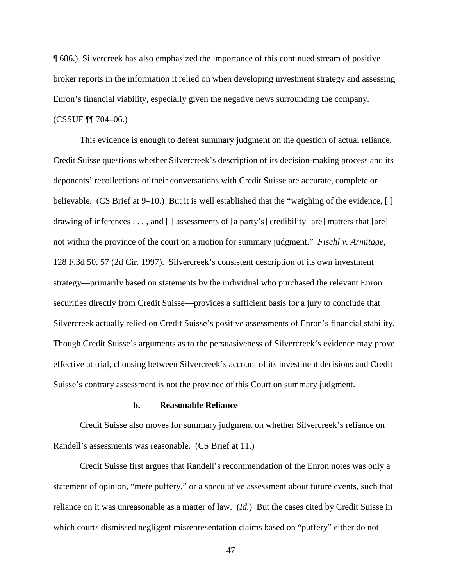¶ 686.) Silvercreek has also emphasized the importance of this continued stream of positive broker reports in the information it relied on when developing investment strategy and assessing Enron's financial viability, especially given the negative news surrounding the company. (CSSUF ¶¶ 704–06.)

This evidence is enough to defeat summary judgment on the question of actual reliance. Credit Suisse questions whether Silvercreek's description of its decision-making process and its deponents' recollections of their conversations with Credit Suisse are accurate, complete or believable. (CS Brief at 9–10.) But it is well established that the "weighing of the evidence, [ ] drawing of inferences . . . , and [ ] assessments of [a party's] credibility[ are] matters that [are] not within the province of the court on a motion for summary judgment." *Fischl v. Armitage*, 128 F.3d 50, 57 (2d Cir. 1997). Silvercreek's consistent description of its own investment strategy—primarily based on statements by the individual who purchased the relevant Enron securities directly from Credit Suisse—provides a sufficient basis for a jury to conclude that Silvercreek actually relied on Credit Suisse's positive assessments of Enron's financial stability. Though Credit Suisse's arguments as to the persuasiveness of Silvercreek's evidence may prove effective at trial, choosing between Silvercreek's account of its investment decisions and Credit Suisse's contrary assessment is not the province of this Court on summary judgment.

#### **b. Reasonable Reliance**

Credit Suisse also moves for summary judgment on whether Silvercreek's reliance on Randell's assessments was reasonable. (CS Brief at 11.)

Credit Suisse first argues that Randell's recommendation of the Enron notes was only a statement of opinion, "mere puffery," or a speculative assessment about future events, such that reliance on it was unreasonable as a matter of law. (*Id.*) But the cases cited by Credit Suisse in which courts dismissed negligent misrepresentation claims based on "puffery" either do not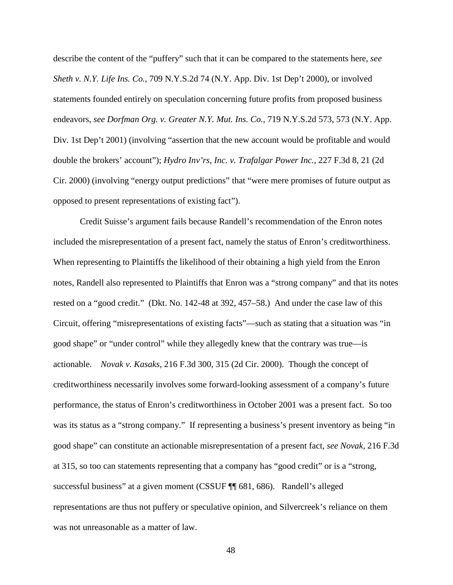describe the content of the "puffery" such that it can be compared to the statements here, *see Sheth v. N.Y. Life Ins. Co.*, 709 N.Y.S.2d 74 (N.Y. App. Div. 1st Dep't 2000), or involved statements founded entirely on speculation concerning future profits from proposed business endeavors, *see Dorfman Org. v. Greater N.Y. Mut. Ins. Co.*, 719 N.Y.S.2d 573, 573 (N.Y. App. Div. 1st Dep't 2001) (involving "assertion that the new account would be profitable and would double the brokers' account"); *Hydro Inv'rs, Inc. v. Trafalgar Power Inc.*, 227 F.3d 8, 21 (2d Cir. 2000) (involving "energy output predictions" that "were mere promises of future output as opposed to present representations of existing fact").

Credit Suisse's argument fails because Randell's recommendation of the Enron notes included the misrepresentation of a present fact, namely the status of Enron's creditworthiness. When representing to Plaintiffs the likelihood of their obtaining a high yield from the Enron notes, Randell also represented to Plaintiffs that Enron was a "strong company" and that its notes rested on a "good credit." (Dkt. No. 142-48 at 392, 457–58.) And under the case law of this Circuit, offering "misrepresentations of existing facts"—such as stating that a situation was "in good shape" or "under control" while they allegedly knew that the contrary was true—is actionable. *Novak v. Kasaks*, 216 F.3d 300, 315 (2d Cir. 2000). Though the concept of creditworthiness necessarily involves some forward-looking assessment of a company's future performance, the status of Enron's creditworthiness in October 2001 was a present fact. So too was its status as a "strong company." If representing a business's present inventory as being "in good shape" can constitute an actionable misrepresentation of a present fact, *see Novak*, 216 F.3d at 315, so too can statements representing that a company has "good credit" or is a "strong, successful business" at a given moment (CSSUF ¶¶ 681, 686). Randell's alleged representations are thus not puffery or speculative opinion, and Silvercreek's reliance on them was not unreasonable as a matter of law.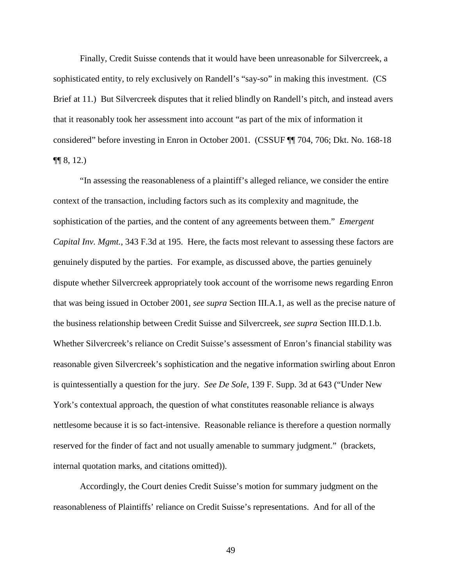Finally, Credit Suisse contends that it would have been unreasonable for Silvercreek, a sophisticated entity, to rely exclusively on Randell's "say-so" in making this investment. (CS Brief at 11.) But Silvercreek disputes that it relied blindly on Randell's pitch, and instead avers that it reasonably took her assessment into account "as part of the mix of information it considered" before investing in Enron in October 2001. (CSSUF ¶¶ 704, 706; Dkt. No. 168-18  $\P\P$  8, 12.)

"In assessing the reasonableness of a plaintiff's alleged reliance, we consider the entire context of the transaction, including factors such as its complexity and magnitude, the sophistication of the parties, and the content of any agreements between them." *Emergent Capital Inv. Mgmt.*, 343 F.3d at 195. Here, the facts most relevant to assessing these factors are genuinely disputed by the parties. For example, as discussed above, the parties genuinely dispute whether Silvercreek appropriately took account of the worrisome news regarding Enron that was being issued in October 2001, *see supra* Section III.A.1, as well as the precise nature of the business relationship between Credit Suisse and Silvercreek, *see supra* Section III.D.1.b. Whether Silvercreek's reliance on Credit Suisse's assessment of Enron's financial stability was reasonable given Silvercreek's sophistication and the negative information swirling about Enron is quintessentially a question for the jury. *See De Sole*, 139 F. Supp. 3d at 643 ("Under New York's contextual approach, the question of what constitutes reasonable reliance is always nettlesome because it is so fact-intensive. Reasonable reliance is therefore a question normally reserved for the finder of fact and not usually amenable to summary judgment." (brackets, internal quotation marks, and citations omitted)).

Accordingly, the Court denies Credit Suisse's motion for summary judgment on the reasonableness of Plaintiffs' reliance on Credit Suisse's representations. And for all of the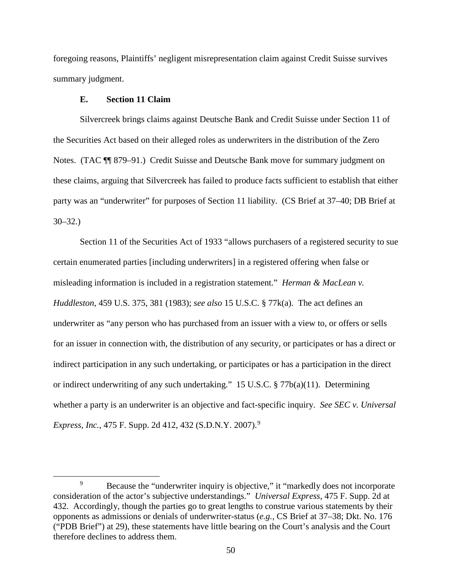foregoing reasons, Plaintiffs' negligent misrepresentation claim against Credit Suisse survives summary judgment.

# **E. Section 11 Claim**

Silvercreek brings claims against Deutsche Bank and Credit Suisse under Section 11 of the Securities Act based on their alleged roles as underwriters in the distribution of the Zero Notes. (TAC ¶¶ 879–91.) Credit Suisse and Deutsche Bank move for summary judgment on these claims, arguing that Silvercreek has failed to produce facts sufficient to establish that either party was an "underwriter" for purposes of Section 11 liability. (CS Brief at 37–40; DB Brief at 30–32.)

Section 11 of the Securities Act of 1933 "allows purchasers of a registered security to sue certain enumerated parties [including underwriters] in a registered offering when false or misleading information is included in a registration statement." *Herman & MacLean v. Huddleston*, 459 U.S. 375, 381 (1983); *see also* 15 U.S.C. § 77k(a). The act defines an underwriter as "any person who has purchased from an issuer with a view to, or offers or sells for an issuer in connection with, the distribution of any security, or participates or has a direct or indirect participation in any such undertaking, or participates or has a participation in the direct or indirect underwriting of any such undertaking." 15 U.S.C. § 77b(a)(11). Determining whether a party is an underwriter is an objective and fact-specific inquiry. *See SEC v. Universal Express, Inc.*, 475 F. Supp. 2d 412, 432 (S.D.N.Y. 2007).<sup>9</sup>

 <sup>9</sup> <sup>9</sup> Because the "underwriter inquiry is objective," it "markedly does not incorporate consideration of the actor's subjective understandings." *Universal Express*, 475 F. Supp. 2d at 432. Accordingly, though the parties go to great lengths to construe various statements by their opponents as admissions or denials of underwriter-status (*e.g.*, CS Brief at 37–38; Dkt. No. 176 ("PDB Brief") at 29), these statements have little bearing on the Court's analysis and the Court therefore declines to address them.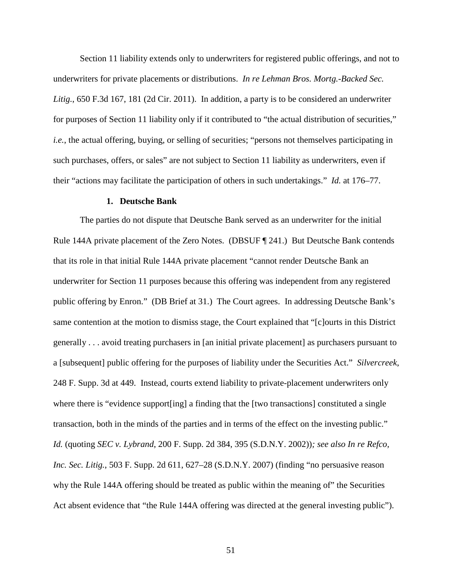Section 11 liability extends only to underwriters for registered public offerings, and not to underwriters for private placements or distributions. *In re Lehman Bros. Mortg.-Backed Sec. Litig.*, 650 F.3d 167, 181 (2d Cir. 2011). In addition, a party is to be considered an underwriter for purposes of Section 11 liability only if it contributed to "the actual distribution of securities," *i.e.*, the actual offering, buying, or selling of securities; "persons not themselves participating in such purchases, offers, or sales" are not subject to Section 11 liability as underwriters, even if their "actions may facilitate the participation of others in such undertakings." *Id.* at 176–77.

### **1. Deutsche Bank**

The parties do not dispute that Deutsche Bank served as an underwriter for the initial Rule 144A private placement of the Zero Notes. (DBSUF ¶ 241.) But Deutsche Bank contends that its role in that initial Rule 144A private placement "cannot render Deutsche Bank an underwriter for Section 11 purposes because this offering was independent from any registered public offering by Enron." (DB Brief at 31.) The Court agrees. In addressing Deutsche Bank's same contention at the motion to dismiss stage, the Court explained that "[c]ourts in this District generally . . . avoid treating purchasers in [an initial private placement] as purchasers pursuant to a [subsequent] public offering for the purposes of liability under the Securities Act." *Silvercreek*, 248 F. Supp. 3d at 449. Instead, courts extend liability to private-placement underwriters only where there is "evidence support [ing] a finding that the [two transactions] constituted a single transaction, both in the minds of the parties and in terms of the effect on the investing public." *Id.* (quoting *SEC v. Lybrand*, 200 F. Supp. 2d 384, 395 (S.D.N.Y. 2002))*; see also In re Refco, Inc. Sec. Litig.*, 503 F. Supp. 2d 611, 627–28 (S.D.N.Y. 2007) (finding "no persuasive reason why the Rule 144A offering should be treated as public within the meaning of" the Securities Act absent evidence that "the Rule 144A offering was directed at the general investing public").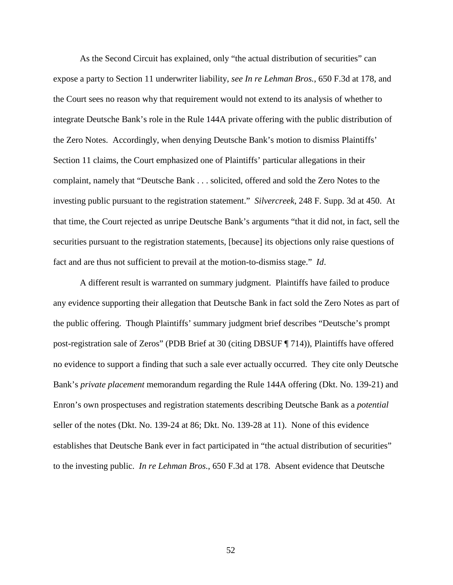As the Second Circuit has explained, only "the actual distribution of securities" can expose a party to Section 11 underwriter liability, *see In re Lehman Bros.*, 650 F.3d at 178, and the Court sees no reason why that requirement would not extend to its analysis of whether to integrate Deutsche Bank's role in the Rule 144A private offering with the public distribution of the Zero Notes. Accordingly, when denying Deutsche Bank's motion to dismiss Plaintiffs' Section 11 claims, the Court emphasized one of Plaintiffs' particular allegations in their complaint, namely that "Deutsche Bank . . . solicited, offered and sold the Zero Notes to the investing public pursuant to the registration statement." *Silvercreek*, 248 F. Supp. 3d at 450. At that time, the Court rejected as unripe Deutsche Bank's arguments "that it did not, in fact, sell the securities pursuant to the registration statements, [because] its objections only raise questions of fact and are thus not sufficient to prevail at the motion-to-dismiss stage." *Id*.

A different result is warranted on summary judgment. Plaintiffs have failed to produce any evidence supporting their allegation that Deutsche Bank in fact sold the Zero Notes as part of the public offering. Though Plaintiffs' summary judgment brief describes "Deutsche's prompt post-registration sale of Zeros" (PDB Brief at 30 (citing DBSUF ¶ 714)), Plaintiffs have offered no evidence to support a finding that such a sale ever actually occurred. They cite only Deutsche Bank's *private placement* memorandum regarding the Rule 144A offering (Dkt. No. 139-21) and Enron's own prospectuses and registration statements describing Deutsche Bank as a *potential* seller of the notes (Dkt. No. 139-24 at 86; Dkt. No. 139-28 at 11). None of this evidence establishes that Deutsche Bank ever in fact participated in "the actual distribution of securities" to the investing public. *In re Lehman Bros.*, 650 F.3d at 178. Absent evidence that Deutsche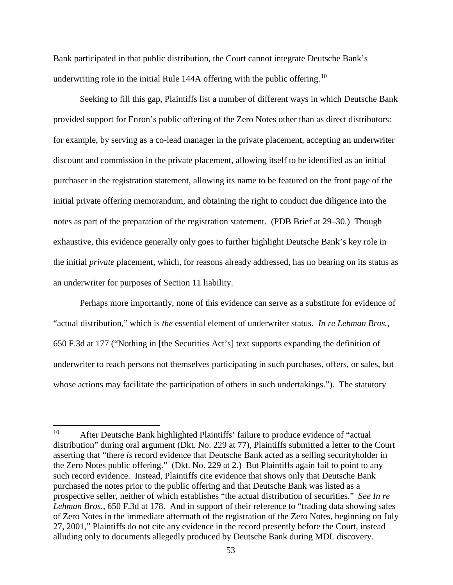Bank participated in that public distribution, the Court cannot integrate Deutsche Bank's underwriting role in the initial Rule 144A offering with the public offering.<sup>10</sup>

Seeking to fill this gap, Plaintiffs list a number of different ways in which Deutsche Bank provided support for Enron's public offering of the Zero Notes other than as direct distributors: for example, by serving as a co-lead manager in the private placement, accepting an underwriter discount and commission in the private placement, allowing itself to be identified as an initial purchaser in the registration statement, allowing its name to be featured on the front page of the initial private offering memorandum, and obtaining the right to conduct due diligence into the notes as part of the preparation of the registration statement. (PDB Brief at 29–30.) Though exhaustive, this evidence generally only goes to further highlight Deutsche Bank's key role in the initial *private* placement, which, for reasons already addressed, has no bearing on its status as an underwriter for purposes of Section 11 liability.

Perhaps more importantly, none of this evidence can serve as a substitute for evidence of "actual distribution," which is *the* essential element of underwriter status. *In re Lehman Bros.*, 650 F.3d at 177 ("Nothing in [the Securities Act's] text supports expanding the definition of underwriter to reach persons not themselves participating in such purchases, offers, or sales, but whose actions may facilitate the participation of others in such undertakings."). The statutory

<sup>10</sup> After Deutsche Bank highlighted Plaintiffs' failure to produce evidence of "actual distribution" during oral argument (Dkt. No. 229 at 77), Plaintiffs submitted a letter to the Court asserting that "there *is* record evidence that Deutsche Bank acted as a selling securityholder in the Zero Notes public offering." (Dkt. No. 229 at 2.) But Plaintiffs again fail to point to any such record evidence. Instead, Plaintiffs cite evidence that shows only that Deutsche Bank purchased the notes prior to the public offering and that Deutsche Bank was listed as a prospective seller, neither of which establishes "the actual distribution of securities." *See In re Lehman Bros.*, 650 F.3d at 178. And in support of their reference to "trading data showing sales of Zero Notes in the immediate aftermath of the registration of the Zero Notes, beginning on July 27, 2001," Plaintiffs do not cite any evidence in the record presently before the Court, instead alluding only to documents allegedly produced by Deutsche Bank during MDL discovery.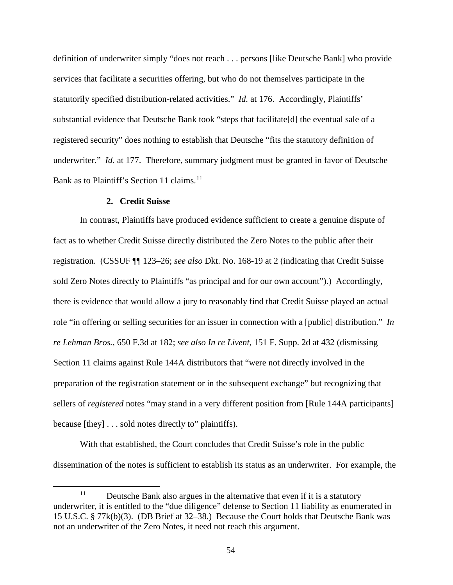definition of underwriter simply "does not reach . . . persons [like Deutsche Bank] who provide services that facilitate a securities offering, but who do not themselves participate in the statutorily specified distribution-related activities." *Id.* at 176. Accordingly, Plaintiffs' substantial evidence that Deutsche Bank took "steps that facilitate[d] the eventual sale of a registered security" does nothing to establish that Deutsche "fits the statutory definition of underwriter." *Id.* at 177. Therefore, summary judgment must be granted in favor of Deutsche Bank as to Plaintiff's Section 11 claims.<sup>11</sup>

## **2. Credit Suisse**

In contrast, Plaintiffs have produced evidence sufficient to create a genuine dispute of fact as to whether Credit Suisse directly distributed the Zero Notes to the public after their registration. (CSSUF ¶¶ 123–26; *see also* Dkt. No. 168-19 at 2 (indicating that Credit Suisse sold Zero Notes directly to Plaintiffs "as principal and for our own account").) Accordingly, there is evidence that would allow a jury to reasonably find that Credit Suisse played an actual role "in offering or selling securities for an issuer in connection with a [public] distribution." *In re Lehman Bros.*, 650 F.3d at 182; *see also In re Livent*, 151 F. Supp. 2d at 432 (dismissing Section 11 claims against Rule 144A distributors that "were not directly involved in the preparation of the registration statement or in the subsequent exchange" but recognizing that sellers of *registered* notes "may stand in a very different position from [Rule 144A participants] because [they] . . . sold notes directly to" plaintiffs).

With that established, the Court concludes that Credit Suisse's role in the public dissemination of the notes is sufficient to establish its status as an underwriter. For example, the

<sup>&</sup>lt;sup>11</sup> Deutsche Bank also argues in the alternative that even if it is a statutory underwriter, it is entitled to the "due diligence" defense to Section 11 liability as enumerated in 15 U.S.C. § 77k(b)(3). (DB Brief at 32–38.) Because the Court holds that Deutsche Bank was not an underwriter of the Zero Notes, it need not reach this argument.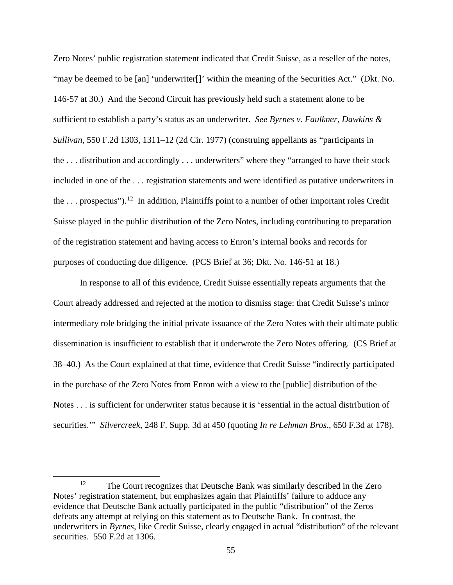Zero Notes' public registration statement indicated that Credit Suisse, as a reseller of the notes, "may be deemed to be [an] 'underwriter[]' within the meaning of the Securities Act." (Dkt. No. 146-57 at 30.) And the Second Circuit has previously held such a statement alone to be sufficient to establish a party's status as an underwriter. *See Byrnes v. Faulkner, Dawkins & Sullivan*, 550 F.2d 1303, 1311–12 (2d Cir. 1977) (construing appellants as "participants in the . . . distribution and accordingly . . . underwriters" where they "arranged to have their stock included in one of the . . . registration statements and were identified as putative underwriters in the ... prospectus").<sup>12</sup> In addition, Plaintiffs point to a number of other important roles Credit Suisse played in the public distribution of the Zero Notes, including contributing to preparation of the registration statement and having access to Enron's internal books and records for purposes of conducting due diligence. (PCS Brief at 36; Dkt. No. 146-51 at 18.)

In response to all of this evidence, Credit Suisse essentially repeats arguments that the Court already addressed and rejected at the motion to dismiss stage: that Credit Suisse's minor intermediary role bridging the initial private issuance of the Zero Notes with their ultimate public dissemination is insufficient to establish that it underwrote the Zero Notes offering. (CS Brief at 38–40.) As the Court explained at that time, evidence that Credit Suisse "indirectly participated in the purchase of the Zero Notes from Enron with a view to the [public] distribution of the Notes . . . is sufficient for underwriter status because it is 'essential in the actual distribution of securities.'" *Silvercreek*, 248 F. Supp. 3d at 450 (quoting *In re Lehman Bros.*, 650 F.3d at 178).

<sup>&</sup>lt;sup>12</sup> The Court recognizes that Deutsche Bank was similarly described in the Zero Notes' registration statement, but emphasizes again that Plaintiffs' failure to adduce any evidence that Deutsche Bank actually participated in the public "distribution" of the Zeros defeats any attempt at relying on this statement as to Deutsche Bank. In contrast, the underwriters in *Byrnes*, like Credit Suisse, clearly engaged in actual "distribution" of the relevant securities. 550 F.2d at 1306.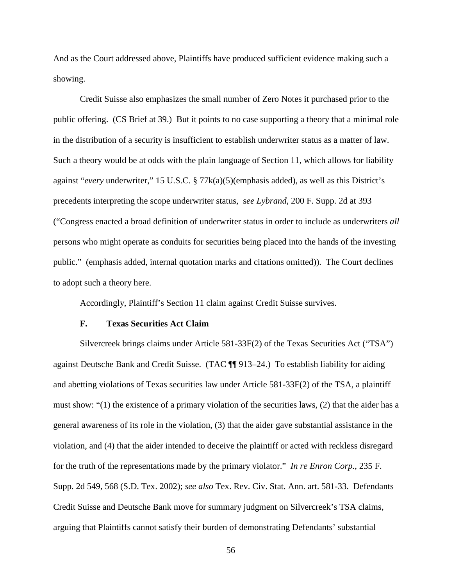And as the Court addressed above, Plaintiffs have produced sufficient evidence making such a showing.

Credit Suisse also emphasizes the small number of Zero Notes it purchased prior to the public offering. (CS Brief at 39.) But it points to no case supporting a theory that a minimal role in the distribution of a security is insufficient to establish underwriter status as a matter of law. Such a theory would be at odds with the plain language of Section 11, which allows for liability against "*every* underwriter," 15 U.S.C. § 77k(a)(5)(emphasis added), as well as this District's precedents interpreting the scope underwriter status, s*ee Lybrand*, 200 F. Supp. 2d at 393 ("Congress enacted a broad definition of underwriter status in order to include as underwriters *all* persons who might operate as conduits for securities being placed into the hands of the investing public." (emphasis added, internal quotation marks and citations omitted)). The Court declines to adopt such a theory here.

Accordingly, Plaintiff's Section 11 claim against Credit Suisse survives.

#### **F. Texas Securities Act Claim**

Silvercreek brings claims under Article 581-33F(2) of the Texas Securities Act ("TSA") against Deutsche Bank and Credit Suisse. (TAC ¶¶ 913–24.) To establish liability for aiding and abetting violations of Texas securities law under Article 581-33F(2) of the TSA, a plaintiff must show: "(1) the existence of a primary violation of the securities laws, (2) that the aider has a general awareness of its role in the violation, (3) that the aider gave substantial assistance in the violation, and (4) that the aider intended to deceive the plaintiff or acted with reckless disregard for the truth of the representations made by the primary violator." *In re Enron Corp.*, 235 F. Supp. 2d 549, 568 (S.D. Tex. 2002); *see also* Tex. Rev. Civ. Stat. Ann. art. 581-33. Defendants Credit Suisse and Deutsche Bank move for summary judgment on Silvercreek's TSA claims, arguing that Plaintiffs cannot satisfy their burden of demonstrating Defendants' substantial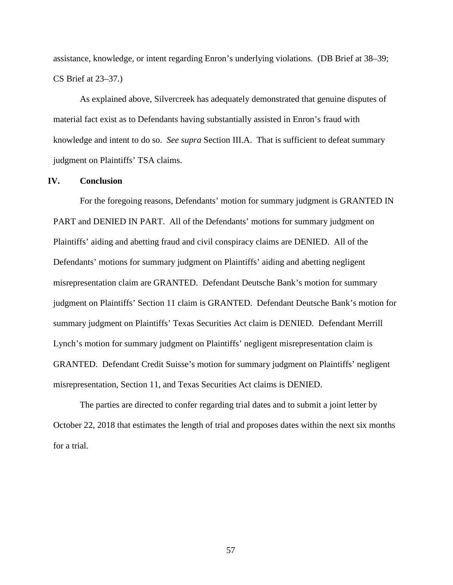assistance, knowledge, or intent regarding Enron's underlying violations. (DB Brief at 38–39; CS Brief at 23–37.)

As explained above, Silvercreek has adequately demonstrated that genuine disputes of material fact exist as to Defendants having substantially assisted in Enron's fraud with knowledge and intent to do so. *See supra* Section III.A. That is sufficient to defeat summary judgment on Plaintiffs' TSA claims.

## **IV. Conclusion**

For the foregoing reasons, Defendants' motion for summary judgment is GRANTED IN PART and DENIED IN PART. All of the Defendants' motions for summary judgment on Plaintiffs' aiding and abetting fraud and civil conspiracy claims are DENIED. All of the Defendants' motions for summary judgment on Plaintiffs' aiding and abetting negligent misrepresentation claim are GRANTED. Defendant Deutsche Bank's motion for summary judgment on Plaintiffs' Section 11 claim is GRANTED. Defendant Deutsche Bank's motion for summary judgment on Plaintiffs' Texas Securities Act claim is DENIED. Defendant Merrill Lynch's motion for summary judgment on Plaintiffs' negligent misrepresentation claim is GRANTED. Defendant Credit Suisse's motion for summary judgment on Plaintiffs' negligent misrepresentation, Section 11, and Texas Securities Act claims is DENIED.

The parties are directed to confer regarding trial dates and to submit a joint letter by October 22, 2018 that estimates the length of trial and proposes dates within the next six months for a trial.